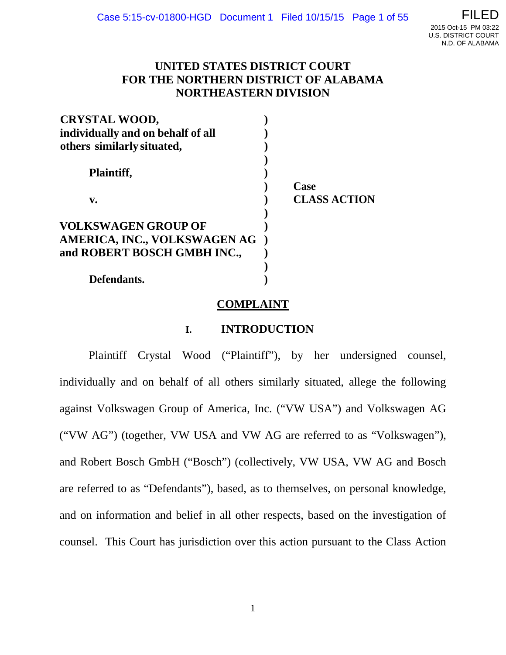

## **UNITED STATES DISTRICT COURT FOR THE NORTHERN DISTRICT OF ALABAMA NORTHEASTERN DIVISION**

| <b>CRYSTAL WOOD,</b>              |                     |
|-----------------------------------|---------------------|
| individually and on behalf of all |                     |
| others similarly situated,        |                     |
| Plaintiff,                        |                     |
|                                   | Case                |
| V.                                | <b>CLASS ACTION</b> |
|                                   |                     |
| <b>VOLKSWAGEN GROUP OF</b>        |                     |
| AMERICA, INC., VOLKSWAGEN AG      |                     |
| and ROBERT BOSCH GMBH INC.,       |                     |
|                                   |                     |
| Defendants.                       |                     |

### **COMPLAINT**

### **I. INTRODUCTION**

Plaintiff Crystal Wood ("Plaintiff"), by her undersigned counsel, individually and on behalf of all others similarly situated, allege the following against Volkswagen Group of America, Inc. ("VW USA") and Volkswagen AG ("VW AG") (together, VW USA and VW AG are referred to as "Volkswagen"), and Robert Bosch GmbH ("Bosch") (collectively, VW USA, VW AG and Bosch are referred to as "Defendants"), based, as to themselves, on personal knowledge, and on information and belief in all other respects, based on the investigation of counsel. This Court has jurisdiction over this action pursuant to the Class Action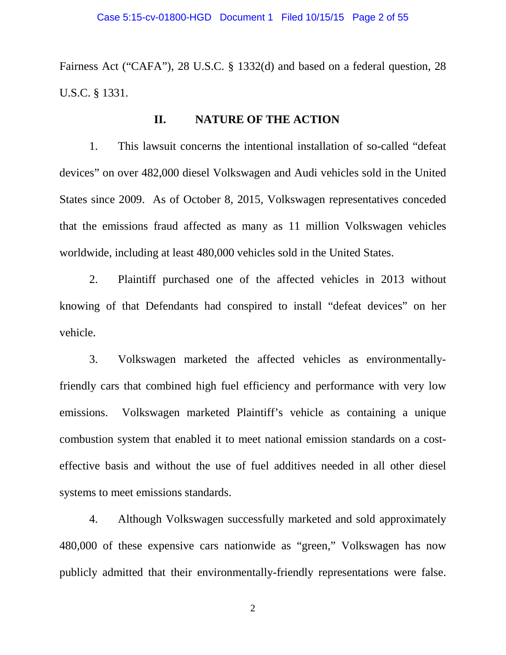Fairness Act ("CAFA"), 28 U.S.C. § 1332(d) and based on a federal question, 28 U.S.C. § 1331.

### **II. NATURE OF THE ACTION**

1. This lawsuit concerns the intentional installation of so-called "defeat devices" on over 482,000 diesel Volkswagen and Audi vehicles sold in the United States since 2009. As of October 8, 2015, Volkswagen representatives conceded that the emissions fraud affected as many as 11 million Volkswagen vehicles worldwide, including at least 480,000 vehicles sold in the United States.

2. Plaintiff purchased one of the affected vehicles in 2013 without knowing of that Defendants had conspired to install "defeat devices" on her vehicle.

3. Volkswagen marketed the affected vehicles as environmentallyfriendly cars that combined high fuel efficiency and performance with very low emissions. Volkswagen marketed Plaintiff's vehicle as containing a unique combustion system that enabled it to meet national emission standards on a costeffective basis and without the use of fuel additives needed in all other diesel systems to meet emissions standards.

4. Although Volkswagen successfully marketed and sold approximately 480,000 of these expensive cars nationwide as "green," Volkswagen has now publicly admitted that their environmentally-friendly representations were false.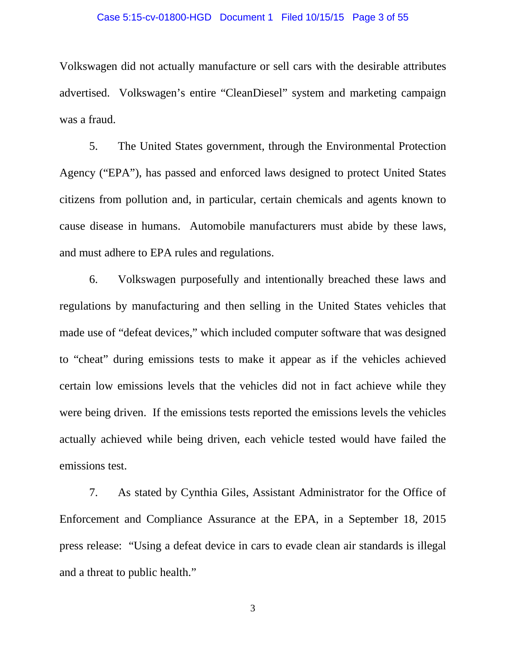### Case 5:15-cv-01800-HGD Document 1 Filed 10/15/15 Page 3 of 55

Volkswagen did not actually manufacture or sell cars with the desirable attributes advertised. Volkswagen's entire "CleanDiesel" system and marketing campaign was a fraud.

5. The United States government, through the Environmental Protection Agency ("EPA"), has passed and enforced laws designed to protect United States citizens from pollution and, in particular, certain chemicals and agents known to cause disease in humans. Automobile manufacturers must abide by these laws, and must adhere to EPA rules and regulations.

6. Volkswagen purposefully and intentionally breached these laws and regulations by manufacturing and then selling in the United States vehicles that made use of "defeat devices," which included computer software that was designed to "cheat" during emissions tests to make it appear as if the vehicles achieved certain low emissions levels that the vehicles did not in fact achieve while they were being driven. If the emissions tests reported the emissions levels the vehicles actually achieved while being driven, each vehicle tested would have failed the emissions test.

7. As stated by Cynthia Giles, Assistant Administrator for the Office of Enforcement and Compliance Assurance at the EPA, in a September 18, 2015 press release: "Using a defeat device in cars to evade clean air standards is illegal and a threat to public health."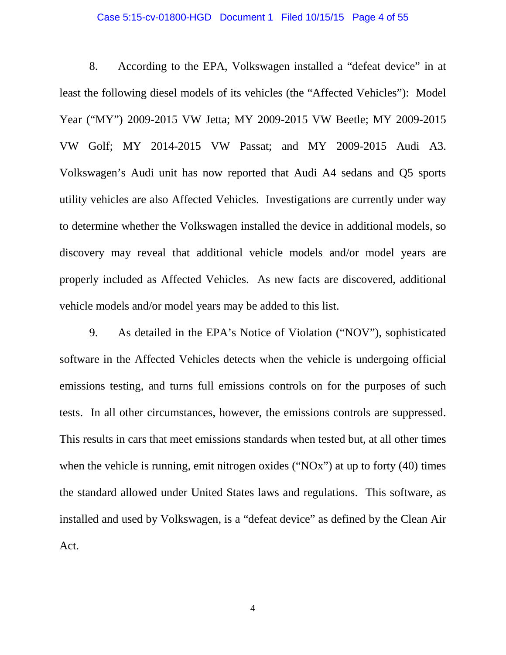### Case 5:15-cv-01800-HGD Document 1 Filed 10/15/15 Page 4 of 55

8. According to the EPA, Volkswagen installed a "defeat device" in at least the following diesel models of its vehicles (the "Affected Vehicles"): Model Year ("MY") 2009-2015 VW Jetta; MY 2009-2015 VW Beetle; MY 2009-2015 VW Golf; MY 2014-2015 VW Passat; and MY 2009-2015 Audi A3. Volkswagen's Audi unit has now reported that Audi A4 sedans and Q5 sports utility vehicles are also Affected Vehicles. Investigations are currently under way to determine whether the Volkswagen installed the device in additional models, so discovery may reveal that additional vehicle models and/or model years are properly included as Affected Vehicles. As new facts are discovered, additional vehicle models and/or model years may be added to this list.

9. As detailed in the EPA's Notice of Violation ("NOV"), sophisticated software in the Affected Vehicles detects when the vehicle is undergoing official emissions testing, and turns full emissions controls on for the purposes of such tests. In all other circumstances, however, the emissions controls are suppressed. This results in cars that meet emissions standards when tested but, at all other times when the vehicle is running, emit nitrogen oxides (" $NOx$ ") at up to forty (40) times the standard allowed under United States laws and regulations. This software, as installed and used by Volkswagen, is a "defeat device" as defined by the Clean Air Act.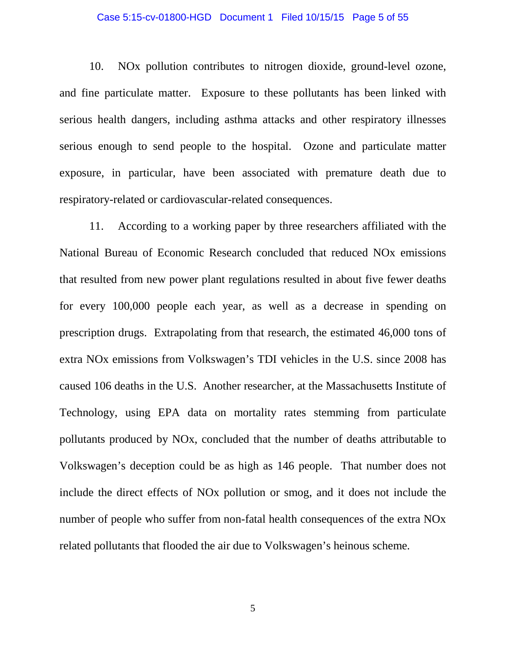### Case 5:15-cv-01800-HGD Document 1 Filed 10/15/15 Page 5 of 55

10. NOx pollution contributes to nitrogen dioxide, ground-level ozone, and fine particulate matter. Exposure to these pollutants has been linked with serious health dangers, including asthma attacks and other respiratory illnesses serious enough to send people to the hospital. Ozone and particulate matter exposure, in particular, have been associated with premature death due to respiratory-related or cardiovascular-related consequences.

11. According to a working paper by three researchers affiliated with the National Bureau of Economic Research concluded that reduced NOx emissions that resulted from new power plant regulations resulted in about five fewer deaths for every 100,000 people each year, as well as a decrease in spending on prescription drugs. Extrapolating from that research, the estimated 46,000 tons of extra NOx emissions from Volkswagen's TDI vehicles in the U.S. since 2008 has caused 106 deaths in the U.S. Another researcher, at the Massachusetts Institute of Technology, using EPA data on mortality rates stemming from particulate pollutants produced by NOx, concluded that the number of deaths attributable to Volkswagen's deception could be as high as 146 people. That number does not include the direct effects of NOx pollution or smog, and it does not include the number of people who suffer from non-fatal health consequences of the extra NOx related pollutants that flooded the air due to Volkswagen's heinous scheme.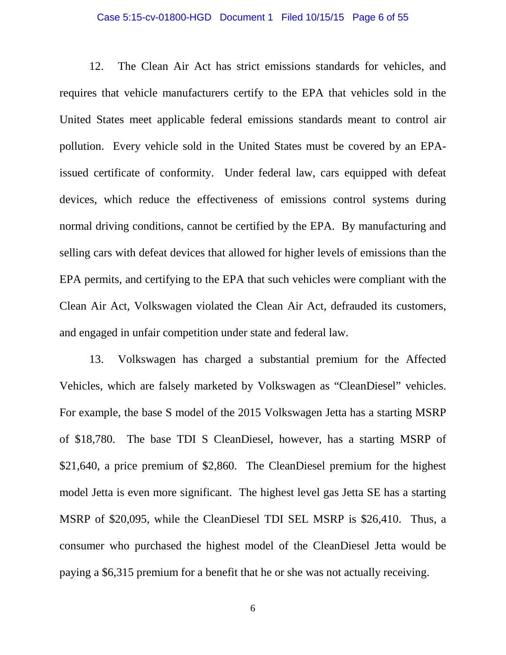#### Case 5:15-cv-01800-HGD Document 1 Filed 10/15/15 Page 6 of 55

12. The Clean Air Act has strict emissions standards for vehicles, and requires that vehicle manufacturers certify to the EPA that vehicles sold in the United States meet applicable federal emissions standards meant to control air pollution. Every vehicle sold in the United States must be covered by an EPAissued certificate of conformity. Under federal law, cars equipped with defeat devices, which reduce the effectiveness of emissions control systems during normal driving conditions, cannot be certified by the EPA. By manufacturing and selling cars with defeat devices that allowed for higher levels of emissions than the EPA permits, and certifying to the EPA that such vehicles were compliant with the Clean Air Act, Volkswagen violated the Clean Air Act, defrauded its customers, and engaged in unfair competition under state and federal law.

13. Volkswagen has charged a substantial premium for the Affected Vehicles, which are falsely marketed by Volkswagen as "CleanDiesel" vehicles. For example, the base S model of the 2015 Volkswagen Jetta has a starting MSRP of \$18,780. The base TDI S CleanDiesel, however, has a starting MSRP of \$21,640, a price premium of \$2,860. The CleanDiesel premium for the highest model Jetta is even more significant. The highest level gas Jetta SE has a starting MSRP of \$20,095, while the CleanDiesel TDI SEL MSRP is \$26,410. Thus, a consumer who purchased the highest model of the CleanDiesel Jetta would be paying a \$6,315 premium for a benefit that he or she was not actually receiving.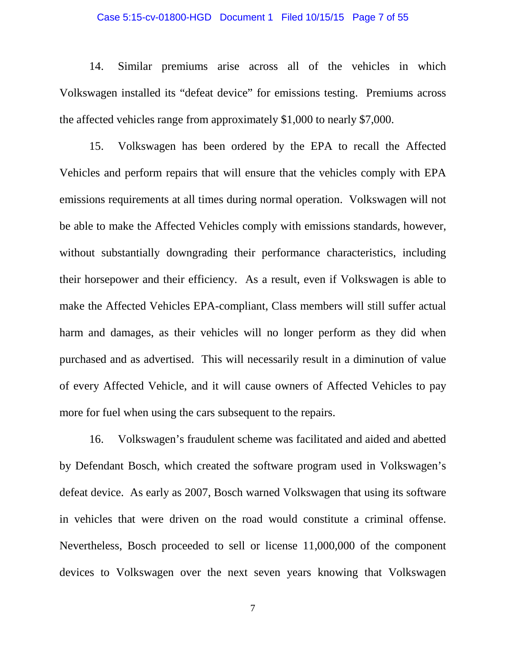### Case 5:15-cv-01800-HGD Document 1 Filed 10/15/15 Page 7 of 55

14. Similar premiums arise across all of the vehicles in which Volkswagen installed its "defeat device" for emissions testing. Premiums across the affected vehicles range from approximately \$1,000 to nearly \$7,000.

15. Volkswagen has been ordered by the EPA to recall the Affected Vehicles and perform repairs that will ensure that the vehicles comply with EPA emissions requirements at all times during normal operation. Volkswagen will not be able to make the Affected Vehicles comply with emissions standards, however, without substantially downgrading their performance characteristics, including their horsepower and their efficiency. As a result, even if Volkswagen is able to make the Affected Vehicles EPA-compliant, Class members will still suffer actual harm and damages, as their vehicles will no longer perform as they did when purchased and as advertised. This will necessarily result in a diminution of value of every Affected Vehicle, and it will cause owners of Affected Vehicles to pay more for fuel when using the cars subsequent to the repairs.

16. Volkswagen's fraudulent scheme was facilitated and aided and abetted by Defendant Bosch, which created the software program used in Volkswagen's defeat device. As early as 2007, Bosch warned Volkswagen that using its software in vehicles that were driven on the road would constitute a criminal offense. Nevertheless, Bosch proceeded to sell or license 11,000,000 of the component devices to Volkswagen over the next seven years knowing that Volkswagen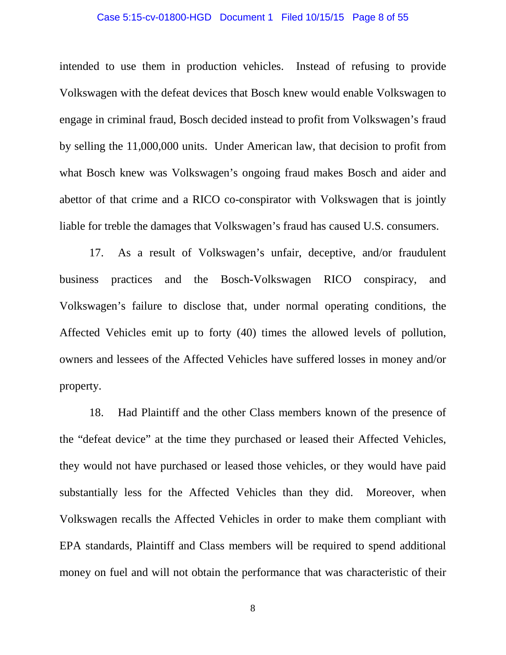### Case 5:15-cv-01800-HGD Document 1 Filed 10/15/15 Page 8 of 55

intended to use them in production vehicles. Instead of refusing to provide Volkswagen with the defeat devices that Bosch knew would enable Volkswagen to engage in criminal fraud, Bosch decided instead to profit from Volkswagen's fraud by selling the 11,000,000 units. Under American law, that decision to profit from what Bosch knew was Volkswagen's ongoing fraud makes Bosch and aider and abettor of that crime and a RICO co-conspirator with Volkswagen that is jointly liable for treble the damages that Volkswagen's fraud has caused U.S. consumers.

17. As a result of Volkswagen's unfair, deceptive, and/or fraudulent business practices and the Bosch-Volkswagen RICO conspiracy, and Volkswagen's failure to disclose that, under normal operating conditions, the Affected Vehicles emit up to forty (40) times the allowed levels of pollution, owners and lessees of the Affected Vehicles have suffered losses in money and/or property.

18. Had Plaintiff and the other Class members known of the presence of the "defeat device" at the time they purchased or leased their Affected Vehicles, they would not have purchased or leased those vehicles, or they would have paid substantially less for the Affected Vehicles than they did. Moreover, when Volkswagen recalls the Affected Vehicles in order to make them compliant with EPA standards, Plaintiff and Class members will be required to spend additional money on fuel and will not obtain the performance that was characteristic of their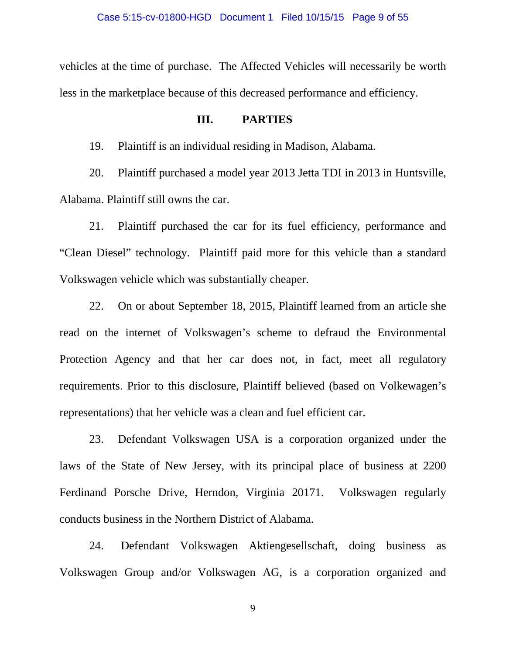vehicles at the time of purchase. The Affected Vehicles will necessarily be worth less in the marketplace because of this decreased performance and efficiency.

### **III. PARTIES**

19. Plaintiff is an individual residing in Madison, Alabama.

20. Plaintiff purchased a model year 2013 Jetta TDI in 2013 in Huntsville, Alabama. Plaintiff still owns the car.

21. Plaintiff purchased the car for its fuel efficiency, performance and "Clean Diesel" technology. Plaintiff paid more for this vehicle than a standard Volkswagen vehicle which was substantially cheaper.

22. On or about September 18, 2015, Plaintiff learned from an article she read on the internet of Volkswagen's scheme to defraud the Environmental Protection Agency and that her car does not, in fact, meet all regulatory requirements. Prior to this disclosure, Plaintiff believed (based on Volkewagen's representations) that her vehicle was a clean and fuel efficient car.

23. Defendant Volkswagen USA is a corporation organized under the laws of the State of New Jersey, with its principal place of business at 2200 Ferdinand Porsche Drive, Herndon, Virginia 20171. Volkswagen regularly conducts business in the Northern District of Alabama.

24. Defendant Volkswagen Aktiengesellschaft, doing business as Volkswagen Group and/or Volkswagen AG, is a corporation organized and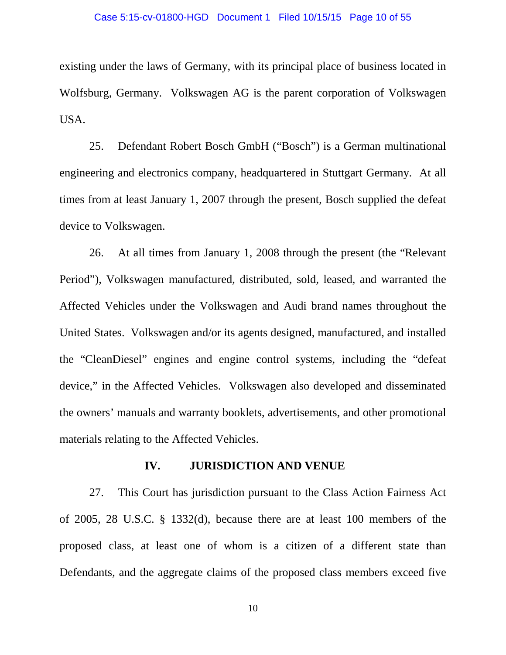### Case 5:15-cv-01800-HGD Document 1 Filed 10/15/15 Page 10 of 55

existing under the laws of Germany, with its principal place of business located in Wolfsburg, Germany. Volkswagen AG is the parent corporation of Volkswagen USA.

25. Defendant Robert Bosch GmbH ("Bosch") is a German multinational engineering and electronics company, headquartered in Stuttgart Germany. At all times from at least January 1, 2007 through the present, Bosch supplied the defeat device to Volkswagen.

26. At all times from January 1, 2008 through the present (the "Relevant Period"), Volkswagen manufactured, distributed, sold, leased, and warranted the Affected Vehicles under the Volkswagen and Audi brand names throughout the United States. Volkswagen and/or its agents designed, manufactured, and installed the "CleanDiesel" engines and engine control systems, including the "defeat device," in the Affected Vehicles. Volkswagen also developed and disseminated the owners' manuals and warranty booklets, advertisements, and other promotional materials relating to the Affected Vehicles.

### **IV. JURISDICTION AND VENUE**

27. This Court has jurisdiction pursuant to the Class Action Fairness Act of 2005, 28 U.S.C. § 1332(d), because there are at least 100 members of the proposed class, at least one of whom is a citizen of a different state than Defendants, and the aggregate claims of the proposed class members exceed five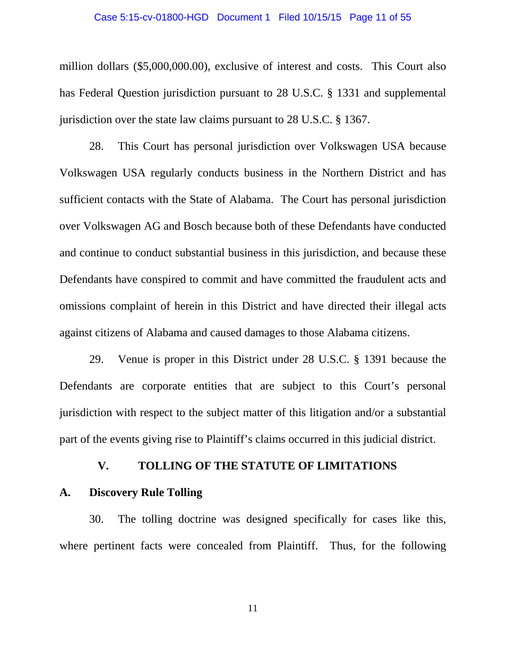### Case 5:15-cv-01800-HGD Document 1 Filed 10/15/15 Page 11 of 55

million dollars (\$5,000,000.00), exclusive of interest and costs. This Court also has Federal Question jurisdiction pursuant to 28 U.S.C. § 1331 and supplemental jurisdiction over the state law claims pursuant to 28 U.S.C. § 1367.

28. This Court has personal jurisdiction over Volkswagen USA because Volkswagen USA regularly conducts business in the Northern District and has sufficient contacts with the State of Alabama. The Court has personal jurisdiction over Volkswagen AG and Bosch because both of these Defendants have conducted and continue to conduct substantial business in this jurisdiction, and because these Defendants have conspired to commit and have committed the fraudulent acts and omissions complaint of herein in this District and have directed their illegal acts against citizens of Alabama and caused damages to those Alabama citizens.

29. Venue is proper in this District under 28 U.S.C. § 1391 because the Defendants are corporate entities that are subject to this Court's personal jurisdiction with respect to the subject matter of this litigation and/or a substantial part of the events giving rise to Plaintiff's claims occurred in this judicial district.

### **V. TOLLING OF THE STATUTE OF LIMITATIONS**

### **A. Discovery Rule Tolling**

30. The tolling doctrine was designed specifically for cases like this, where pertinent facts were concealed from Plaintiff. Thus, for the following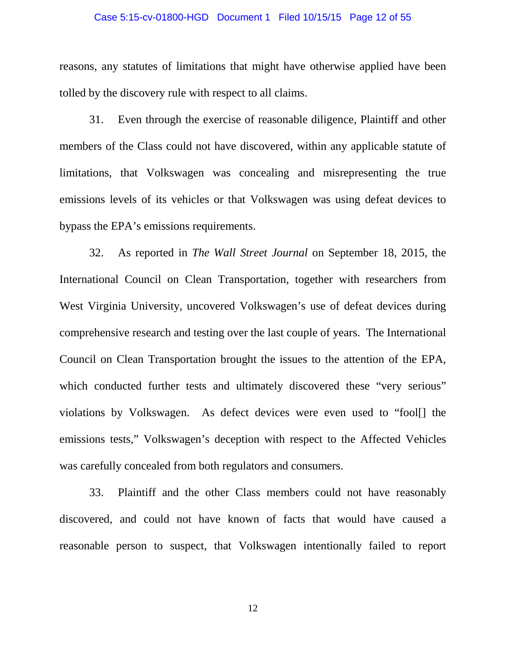### Case 5:15-cv-01800-HGD Document 1 Filed 10/15/15 Page 12 of 55

reasons, any statutes of limitations that might have otherwise applied have been tolled by the discovery rule with respect to all claims.

31. Even through the exercise of reasonable diligence, Plaintiff and other members of the Class could not have discovered, within any applicable statute of limitations, that Volkswagen was concealing and misrepresenting the true emissions levels of its vehicles or that Volkswagen was using defeat devices to bypass the EPA's emissions requirements.

32. As reported in *The Wall Street Journal* on September 18, 2015, the International Council on Clean Transportation, together with researchers from West Virginia University, uncovered Volkswagen's use of defeat devices during comprehensive research and testing over the last couple of years. The International Council on Clean Transportation brought the issues to the attention of the EPA, which conducted further tests and ultimately discovered these "very serious" violations by Volkswagen. As defect devices were even used to "fool[] the emissions tests," Volkswagen's deception with respect to the Affected Vehicles was carefully concealed from both regulators and consumers.

33. Plaintiff and the other Class members could not have reasonably discovered, and could not have known of facts that would have caused a reasonable person to suspect, that Volkswagen intentionally failed to report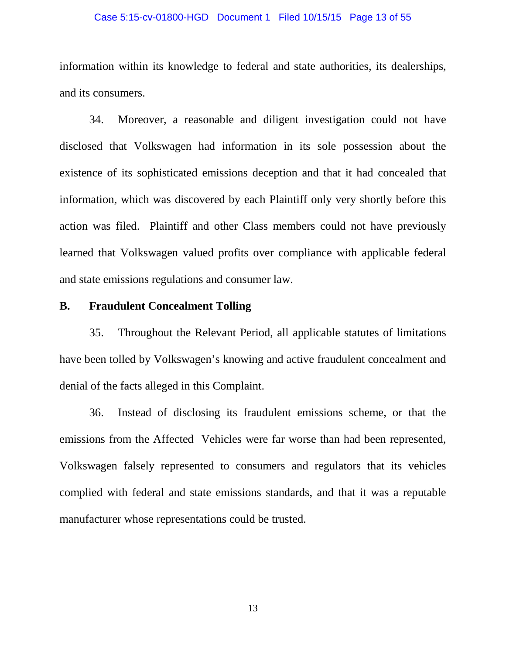### Case 5:15-cv-01800-HGD Document 1 Filed 10/15/15 Page 13 of 55

information within its knowledge to federal and state authorities, its dealerships, and its consumers.

34. Moreover, a reasonable and diligent investigation could not have disclosed that Volkswagen had information in its sole possession about the existence of its sophisticated emissions deception and that it had concealed that information, which was discovered by each Plaintiff only very shortly before this action was filed. Plaintiff and other Class members could not have previously learned that Volkswagen valued profits over compliance with applicable federal and state emissions regulations and consumer law.

## **B. Fraudulent Concealment Tolling**

35. Throughout the Relevant Period, all applicable statutes of limitations have been tolled by Volkswagen's knowing and active fraudulent concealment and denial of the facts alleged in this Complaint.

36. Instead of disclosing its fraudulent emissions scheme, or that the emissions from the Affected Vehicles were far worse than had been represented, Volkswagen falsely represented to consumers and regulators that its vehicles complied with federal and state emissions standards, and that it was a reputable manufacturer whose representations could be trusted.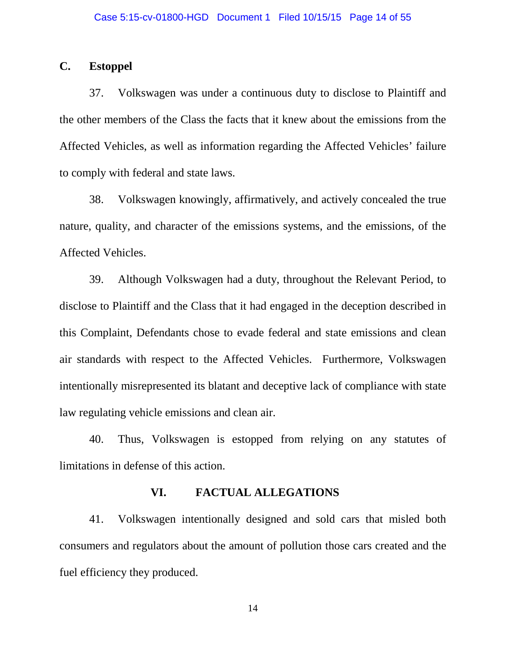## **C. Estoppel**

37. Volkswagen was under a continuous duty to disclose to Plaintiff and the other members of the Class the facts that it knew about the emissions from the Affected Vehicles, as well as information regarding the Affected Vehicles' failure to comply with federal and state laws.

38. Volkswagen knowingly, affirmatively, and actively concealed the true nature, quality, and character of the emissions systems, and the emissions, of the Affected Vehicles.

39. Although Volkswagen had a duty, throughout the Relevant Period, to disclose to Plaintiff and the Class that it had engaged in the deception described in this Complaint, Defendants chose to evade federal and state emissions and clean air standards with respect to the Affected Vehicles. Furthermore, Volkswagen intentionally misrepresented its blatant and deceptive lack of compliance with state law regulating vehicle emissions and clean air.

40. Thus, Volkswagen is estopped from relying on any statutes of limitations in defense of this action.

### **VI. FACTUAL ALLEGATIONS**

41. Volkswagen intentionally designed and sold cars that misled both consumers and regulators about the amount of pollution those cars created and the fuel efficiency they produced.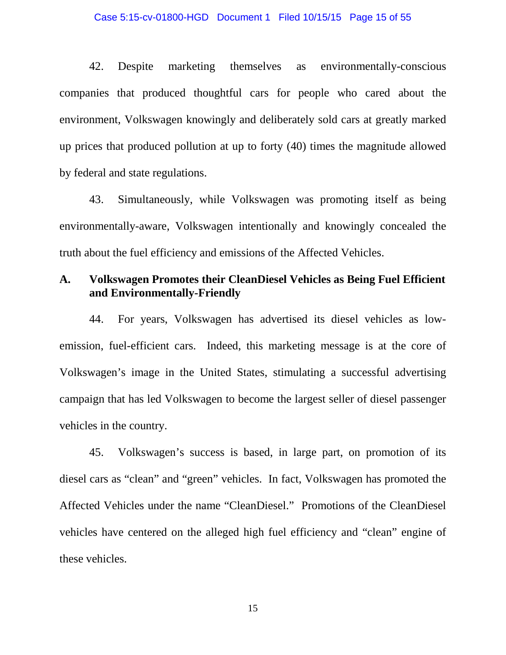42. Despite marketing themselves as environmentally-conscious companies that produced thoughtful cars for people who cared about the environment, Volkswagen knowingly and deliberately sold cars at greatly marked up prices that produced pollution at up to forty (40) times the magnitude allowed by federal and state regulations.

43. Simultaneously, while Volkswagen was promoting itself as being environmentally-aware, Volkswagen intentionally and knowingly concealed the truth about the fuel efficiency and emissions of the Affected Vehicles.

## **A. Volkswagen Promotes their CleanDiesel Vehicles as Being Fuel Efficient and Environmentally-Friendly**

44. For years, Volkswagen has advertised its diesel vehicles as lowemission, fuel-efficient cars. Indeed, this marketing message is at the core of Volkswagen's image in the United States, stimulating a successful advertising campaign that has led Volkswagen to become the largest seller of diesel passenger vehicles in the country.

45. Volkswagen's success is based, in large part, on promotion of its diesel cars as "clean" and "green" vehicles. In fact, Volkswagen has promoted the Affected Vehicles under the name "CleanDiesel." Promotions of the CleanDiesel vehicles have centered on the alleged high fuel efficiency and "clean" engine of these vehicles.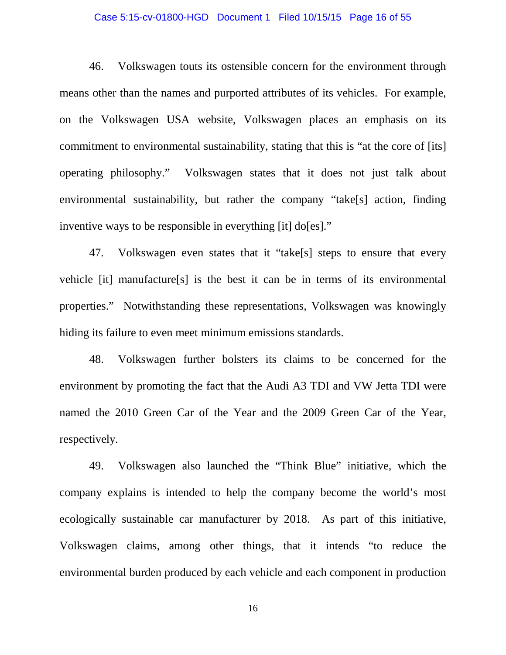### Case 5:15-cv-01800-HGD Document 1 Filed 10/15/15 Page 16 of 55

46. Volkswagen touts its ostensible concern for the environment through means other than the names and purported attributes of its vehicles. For example, on the Volkswagen USA website, Volkswagen places an emphasis on its commitment to environmental sustainability, stating that this is "at the core of [its] operating philosophy." Volkswagen states that it does not just talk about environmental sustainability, but rather the company "take[s] action, finding inventive ways to be responsible in everything [it] do[es]."

47. Volkswagen even states that it "take[s] steps to ensure that every vehicle [it] manufacture[s] is the best it can be in terms of its environmental properties." Notwithstanding these representations, Volkswagen was knowingly hiding its failure to even meet minimum emissions standards.

48. Volkswagen further bolsters its claims to be concerned for the environment by promoting the fact that the Audi A3 TDI and VW Jetta TDI were named the 2010 Green Car of the Year and the 2009 Green Car of the Year, respectively.

49. Volkswagen also launched the "Think Blue" initiative, which the company explains is intended to help the company become the world's most ecologically sustainable car manufacturer by 2018. As part of this initiative, Volkswagen claims, among other things, that it intends "to reduce the environmental burden produced by each vehicle and each component in production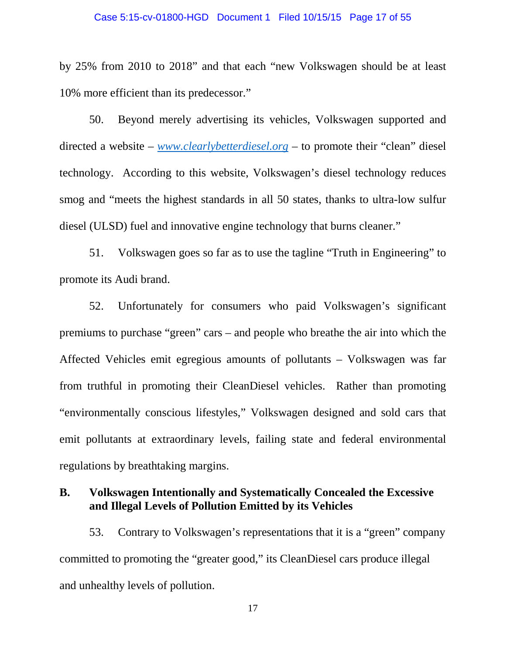by 25% from 2010 to 2018" and that each "new Volkswagen should be at least 10% more efficient than its predecessor."

50. Beyond merely advertising its vehicles, Volkswagen supported and directed a website – *[www.clearlybetterdiesel.org](http://www.clearlybetterdiesel.org/)* – to promote their "clean" diesel technology. According to this website, Volkswagen's diesel technology reduces smog and "meets the highest standards in all 50 states, thanks to ultra-low sulfur diesel (ULSD) fuel and innovative engine technology that burns cleaner."

51. Volkswagen goes so far as to use the tagline "Truth in Engineering" to promote its Audi brand.

52. Unfortunately for consumers who paid Volkswagen's significant premiums to purchase "green" cars – and people who breathe the air into which the Affected Vehicles emit egregious amounts of pollutants – Volkswagen was far from truthful in promoting their CleanDiesel vehicles. Rather than promoting "environmentally conscious lifestyles," Volkswagen designed and sold cars that emit pollutants at extraordinary levels, failing state and federal environmental regulations by breathtaking margins.

## **B. Volkswagen Intentionally and Systematically Concealed the Excessive and Illegal Levels of Pollution Emitted by its Vehicles**

53. Contrary to Volkswagen's representations that it is a "green" company committed to promoting the "greater good," its CleanDiesel cars produce illegal and unhealthy levels of pollution.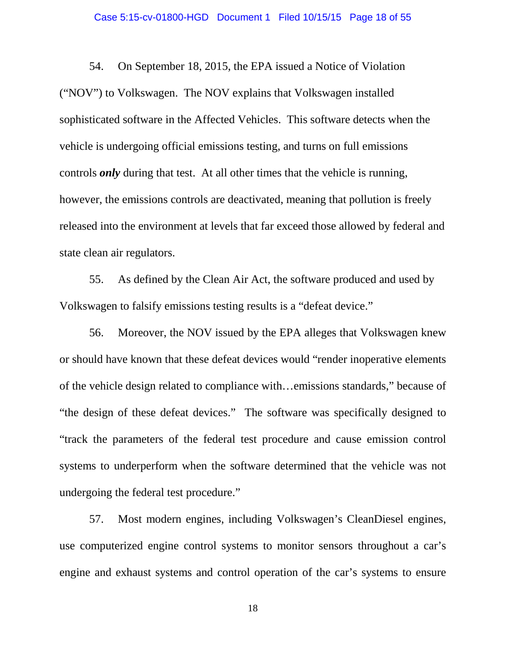### Case 5:15-cv-01800-HGD Document 1 Filed 10/15/15 Page 18 of 55

54. On September 18, 2015, the EPA issued a Notice of Violation ("NOV") to Volkswagen. The NOV explains that Volkswagen installed sophisticated software in the Affected Vehicles. This software detects when the vehicle is undergoing official emissions testing, and turns on full emissions controls *only* during that test. At all other times that the vehicle is running, however, the emissions controls are deactivated, meaning that pollution is freely released into the environment at levels that far exceed those allowed by federal and state clean air regulators.

55. As defined by the Clean Air Act, the software produced and used by Volkswagen to falsify emissions testing results is a "defeat device."

56. Moreover, the NOV issued by the EPA alleges that Volkswagen knew or should have known that these defeat devices would "render inoperative elements of the vehicle design related to compliance with…emissions standards," because of "the design of these defeat devices." The software was specifically designed to "track the parameters of the federal test procedure and cause emission control systems to underperform when the software determined that the vehicle was not undergoing the federal test procedure."

57. Most modern engines, including Volkswagen's CleanDiesel engines, use computerized engine control systems to monitor sensors throughout a car's engine and exhaust systems and control operation of the car's systems to ensure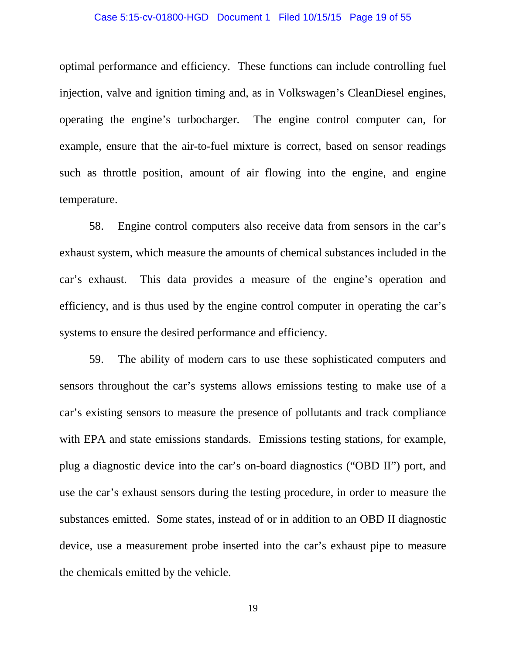### Case 5:15-cv-01800-HGD Document 1 Filed 10/15/15 Page 19 of 55

optimal performance and efficiency. These functions can include controlling fuel injection, valve and ignition timing and, as in Volkswagen's CleanDiesel engines, operating the engine's turbocharger. The engine control computer can, for example, ensure that the air-to-fuel mixture is correct, based on sensor readings such as throttle position, amount of air flowing into the engine, and engine temperature.

58. Engine control computers also receive data from sensors in the car's exhaust system, which measure the amounts of chemical substances included in the car's exhaust. This data provides a measure of the engine's operation and efficiency, and is thus used by the engine control computer in operating the car's systems to ensure the desired performance and efficiency.

59. The ability of modern cars to use these sophisticated computers and sensors throughout the car's systems allows emissions testing to make use of a car's existing sensors to measure the presence of pollutants and track compliance with EPA and state emissions standards. Emissions testing stations, for example, plug a diagnostic device into the car's on-board diagnostics ("OBD II") port, and use the car's exhaust sensors during the testing procedure, in order to measure the substances emitted. Some states, instead of or in addition to an OBD II diagnostic device, use a measurement probe inserted into the car's exhaust pipe to measure the chemicals emitted by the vehicle.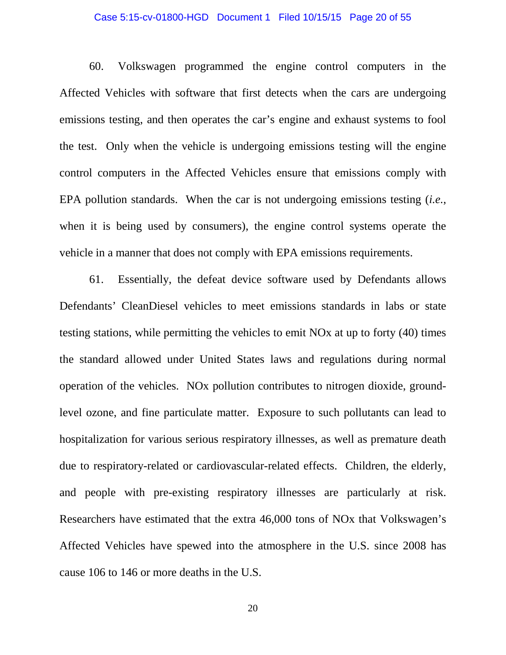### Case 5:15-cv-01800-HGD Document 1 Filed 10/15/15 Page 20 of 55

60. Volkswagen programmed the engine control computers in the Affected Vehicles with software that first detects when the cars are undergoing emissions testing, and then operates the car's engine and exhaust systems to fool the test. Only when the vehicle is undergoing emissions testing will the engine control computers in the Affected Vehicles ensure that emissions comply with EPA pollution standards. When the car is not undergoing emissions testing (*i.e.*, when it is being used by consumers), the engine control systems operate the vehicle in a manner that does not comply with EPA emissions requirements.

61. Essentially, the defeat device software used by Defendants allows Defendants' CleanDiesel vehicles to meet emissions standards in labs or state testing stations, while permitting the vehicles to emit NOx at up to forty (40) times the standard allowed under United States laws and regulations during normal operation of the vehicles. NOx pollution contributes to nitrogen dioxide, groundlevel ozone, and fine particulate matter. Exposure to such pollutants can lead to hospitalization for various serious respiratory illnesses, as well as premature death due to respiratory-related or cardiovascular-related effects. Children, the elderly, and people with pre-existing respiratory illnesses are particularly at risk. Researchers have estimated that the extra 46,000 tons of NOx that Volkswagen's Affected Vehicles have spewed into the atmosphere in the U.S. since 2008 has cause 106 to 146 or more deaths in the U.S.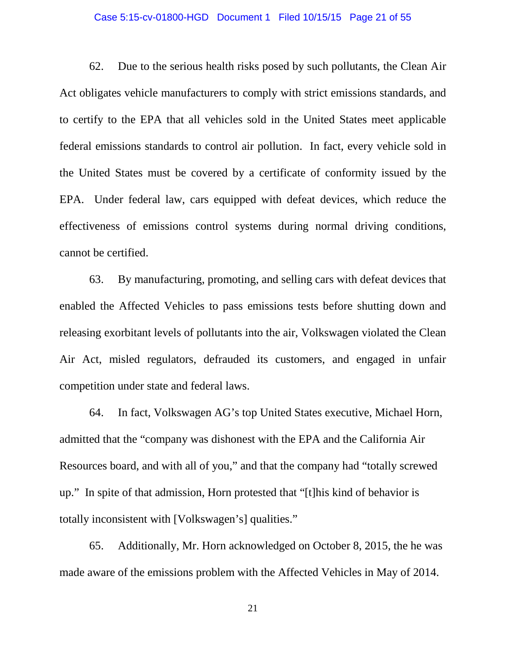### Case 5:15-cv-01800-HGD Document 1 Filed 10/15/15 Page 21 of 55

62. Due to the serious health risks posed by such pollutants, the Clean Air Act obligates vehicle manufacturers to comply with strict emissions standards, and to certify to the EPA that all vehicles sold in the United States meet applicable federal emissions standards to control air pollution. In fact, every vehicle sold in the United States must be covered by a certificate of conformity issued by the EPA. Under federal law, cars equipped with defeat devices, which reduce the effectiveness of emissions control systems during normal driving conditions, cannot be certified.

63. By manufacturing, promoting, and selling cars with defeat devices that enabled the Affected Vehicles to pass emissions tests before shutting down and releasing exorbitant levels of pollutants into the air, Volkswagen violated the Clean Air Act, misled regulators, defrauded its customers, and engaged in unfair competition under state and federal laws.

64. In fact, Volkswagen AG's top United States executive, Michael Horn, admitted that the "company was dishonest with the EPA and the California Air Resources board, and with all of you," and that the company had "totally screwed up." In spite of that admission, Horn protested that "[t]his kind of behavior is totally inconsistent with [Volkswagen's] qualities."

65. Additionally, Mr. Horn acknowledged on October 8, 2015, the he was made aware of the emissions problem with the Affected Vehicles in May of 2014.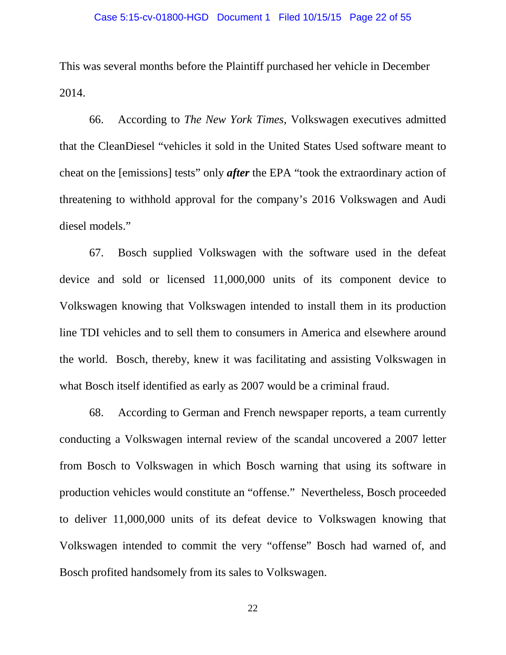This was several months before the Plaintiff purchased her vehicle in December 2014.

66. According to *The New York Times*, Volkswagen executives admitted that the CleanDiesel "vehicles it sold in the United States Used software meant to cheat on the [emissions] tests" only *after* the EPA "took the extraordinary action of threatening to withhold approval for the company's 2016 Volkswagen and Audi diesel models."

67. Bosch supplied Volkswagen with the software used in the defeat device and sold or licensed 11,000,000 units of its component device to Volkswagen knowing that Volkswagen intended to install them in its production line TDI vehicles and to sell them to consumers in America and elsewhere around the world. Bosch, thereby, knew it was facilitating and assisting Volkswagen in what Bosch itself identified as early as 2007 would be a criminal fraud.

68. According to German and French newspaper reports, a team currently conducting a Volkswagen internal review of the scandal uncovered a 2007 letter from Bosch to Volkswagen in which Bosch warning that using its software in production vehicles would constitute an "offense." Nevertheless, Bosch proceeded to deliver 11,000,000 units of its defeat device to Volkswagen knowing that Volkswagen intended to commit the very "offense" Bosch had warned of, and Bosch profited handsomely from its sales to Volkswagen.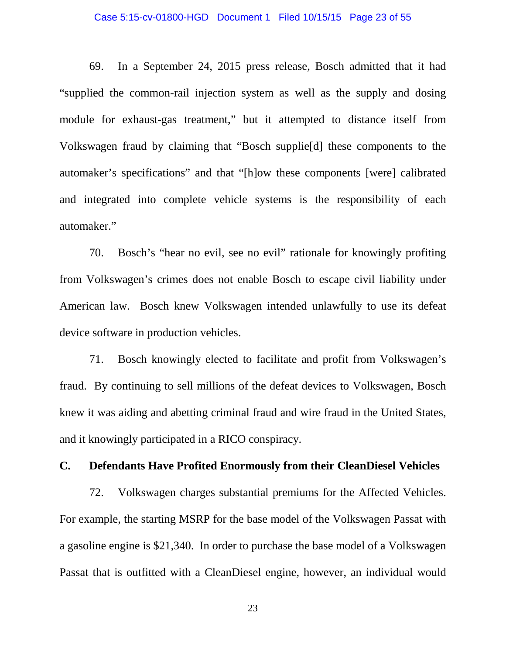### Case 5:15-cv-01800-HGD Document 1 Filed 10/15/15 Page 23 of 55

69. In a September 24, 2015 press release, Bosch admitted that it had "supplied the common-rail injection system as well as the supply and dosing module for exhaust-gas treatment," but it attempted to distance itself from Volkswagen fraud by claiming that "Bosch supplie[d] these components to the automaker's specifications" and that "[h]ow these components [were] calibrated and integrated into complete vehicle systems is the responsibility of each automaker."

70. Bosch's "hear no evil, see no evil" rationale for knowingly profiting from Volkswagen's crimes does not enable Bosch to escape civil liability under American law. Bosch knew Volkswagen intended unlawfully to use its defeat device software in production vehicles.

71. Bosch knowingly elected to facilitate and profit from Volkswagen's fraud. By continuing to sell millions of the defeat devices to Volkswagen, Bosch knew it was aiding and abetting criminal fraud and wire fraud in the United States, and it knowingly participated in a RICO conspiracy.

## **C. Defendants Have Profited Enormously from their CleanDiesel Vehicles**

72. Volkswagen charges substantial premiums for the Affected Vehicles. For example, the starting MSRP for the base model of the Volkswagen Passat with a gasoline engine is \$21,340. In order to purchase the base model of a Volkswagen Passat that is outfitted with a CleanDiesel engine, however, an individual would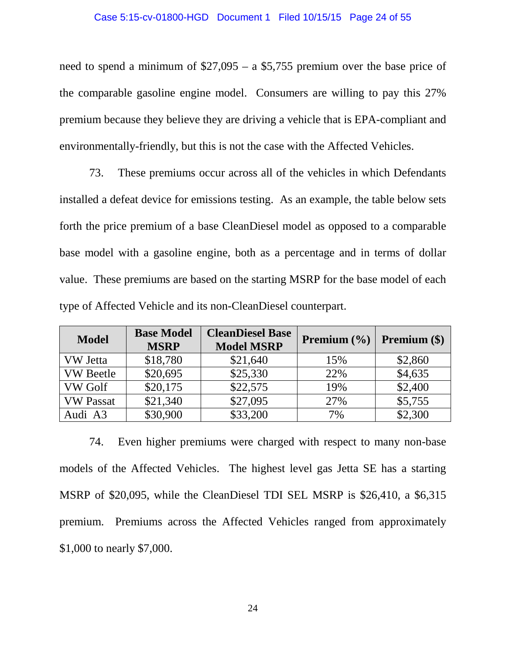need to spend a minimum of \$27,095 – a \$5,755 premium over the base price of the comparable gasoline engine model. Consumers are willing to pay this 27% premium because they believe they are driving a vehicle that is EPA-compliant and environmentally-friendly, but this is not the case with the Affected Vehicles.

73. These premiums occur across all of the vehicles in which Defendants installed a defeat device for emissions testing. As an example, the table below sets forth the price premium of a base CleanDiesel model as opposed to a comparable base model with a gasoline engine, both as a percentage and in terms of dollar value. These premiums are based on the starting MSRP for the base model of each type of Affected Vehicle and its non-CleanDiesel counterpart.

| <b>Model</b>     | <b>Base Model</b><br><b>MSRP</b> | <b>CleanDiesel Base</b><br><b>Model MSRP</b> | <b>Premium</b> $(\%)$ | Premium (\$) |
|------------------|----------------------------------|----------------------------------------------|-----------------------|--------------|
| <b>VW</b> Jetta  | \$18,780                         | \$21,640                                     | 15%                   | \$2,860      |
| <b>VW</b> Beetle | \$20,695                         | \$25,330                                     | 22%                   | \$4,635      |
| <b>VW Golf</b>   | \$20,175                         | \$22,575                                     | 19%                   | \$2,400      |
| <b>VW Passat</b> | \$21,340                         | \$27,095                                     | 27%                   | \$5,755      |
| Audi A3          | \$30,900                         | \$33,200                                     | 7%                    | \$2,300      |

74. Even higher premiums were charged with respect to many non-base models of the Affected Vehicles. The highest level gas Jetta SE has a starting MSRP of \$20,095, while the CleanDiesel TDI SEL MSRP is \$26,410, a \$6,315 premium. Premiums across the Affected Vehicles ranged from approximately \$1,000 to nearly \$7,000.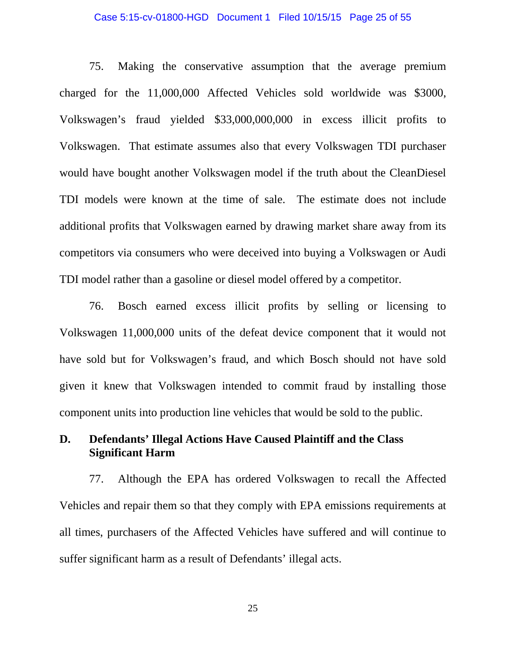### Case 5:15-cv-01800-HGD Document 1 Filed 10/15/15 Page 25 of 55

75. Making the conservative assumption that the average premium charged for the 11,000,000 Affected Vehicles sold worldwide was \$3000, Volkswagen's fraud yielded \$33,000,000,000 in excess illicit profits to Volkswagen. That estimate assumes also that every Volkswagen TDI purchaser would have bought another Volkswagen model if the truth about the CleanDiesel TDI models were known at the time of sale. The estimate does not include additional profits that Volkswagen earned by drawing market share away from its competitors via consumers who were deceived into buying a Volkswagen or Audi TDI model rather than a gasoline or diesel model offered by a competitor.

76. Bosch earned excess illicit profits by selling or licensing to Volkswagen 11,000,000 units of the defeat device component that it would not have sold but for Volkswagen's fraud, and which Bosch should not have sold given it knew that Volkswagen intended to commit fraud by installing those component units into production line vehicles that would be sold to the public.

## **D. Defendants' Illegal Actions Have Caused Plaintiff and the Class Significant Harm**

77. Although the EPA has ordered Volkswagen to recall the Affected Vehicles and repair them so that they comply with EPA emissions requirements at all times, purchasers of the Affected Vehicles have suffered and will continue to suffer significant harm as a result of Defendants' illegal acts.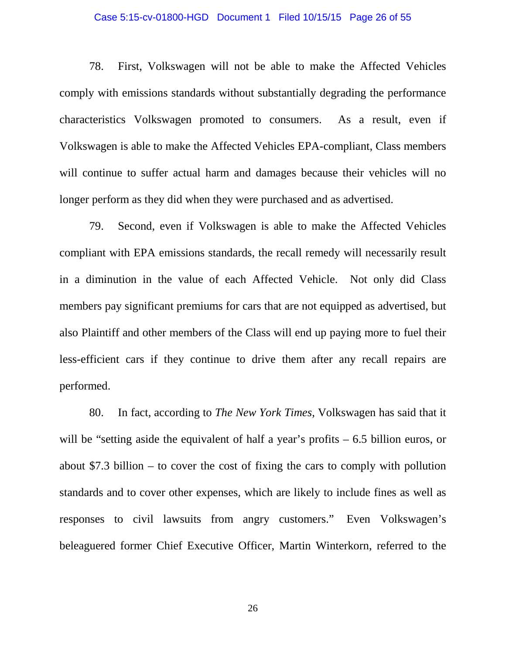### Case 5:15-cv-01800-HGD Document 1 Filed 10/15/15 Page 26 of 55

78. First, Volkswagen will not be able to make the Affected Vehicles comply with emissions standards without substantially degrading the performance characteristics Volkswagen promoted to consumers. As a result, even if Volkswagen is able to make the Affected Vehicles EPA-compliant, Class members will continue to suffer actual harm and damages because their vehicles will no longer perform as they did when they were purchased and as advertised.

79. Second, even if Volkswagen is able to make the Affected Vehicles compliant with EPA emissions standards, the recall remedy will necessarily result in a diminution in the value of each Affected Vehicle. Not only did Class members pay significant premiums for cars that are not equipped as advertised, but also Plaintiff and other members of the Class will end up paying more to fuel their less-efficient cars if they continue to drive them after any recall repairs are performed.

80. In fact, according to *The New York Times*, Volkswagen has said that it will be "setting aside the equivalent of half a year's profits – 6.5 billion euros, or about \$7.3 billion – to cover the cost of fixing the cars to comply with pollution standards and to cover other expenses, which are likely to include fines as well as responses to civil lawsuits from angry customers." Even Volkswagen's beleaguered former Chief Executive Officer, Martin Winterkorn, referred to the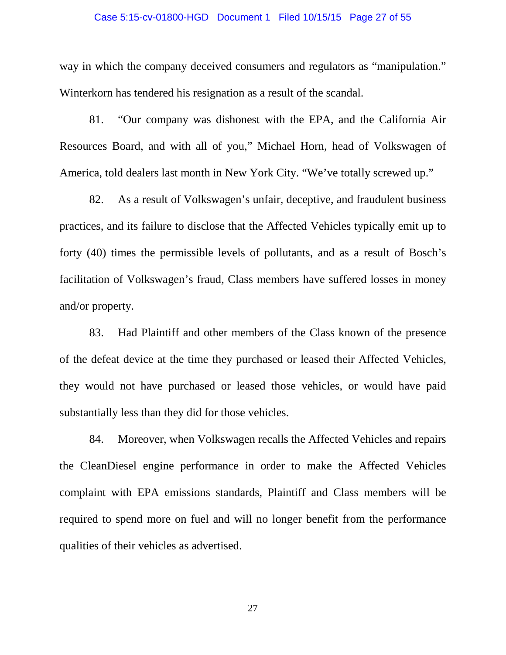### Case 5:15-cv-01800-HGD Document 1 Filed 10/15/15 Page 27 of 55

way in which the company deceived consumers and regulators as "manipulation." Winterkorn has tendered his resignation as a result of the scandal.

81. "Our company was dishonest with the EPA, and the California Air Resources Board, and with all of you," Michael Horn, head of Volkswagen of America, told dealers last month in New York City. "We've totally screwed up."

82. As a result of Volkswagen's unfair, deceptive, and fraudulent business practices, and its failure to disclose that the Affected Vehicles typically emit up to forty (40) times the permissible levels of pollutants, and as a result of Bosch's facilitation of Volkswagen's fraud, Class members have suffered losses in money and/or property.

83. Had Plaintiff and other members of the Class known of the presence of the defeat device at the time they purchased or leased their Affected Vehicles, they would not have purchased or leased those vehicles, or would have paid substantially less than they did for those vehicles.

84. Moreover, when Volkswagen recalls the Affected Vehicles and repairs the CleanDiesel engine performance in order to make the Affected Vehicles complaint with EPA emissions standards, Plaintiff and Class members will be required to spend more on fuel and will no longer benefit from the performance qualities of their vehicles as advertised.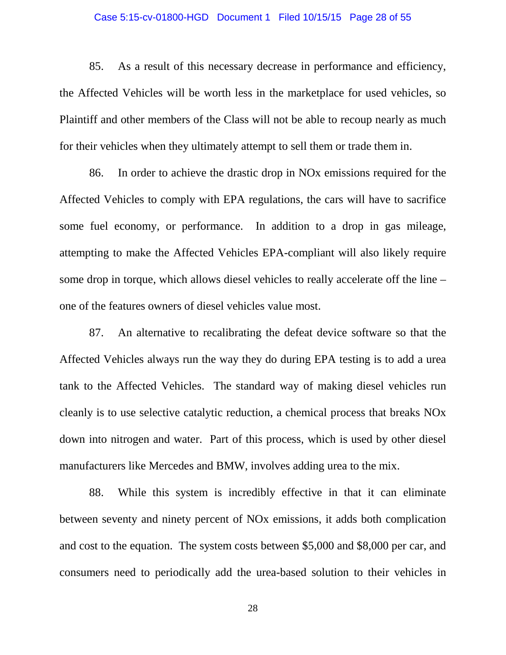### Case 5:15-cv-01800-HGD Document 1 Filed 10/15/15 Page 28 of 55

85. As a result of this necessary decrease in performance and efficiency, the Affected Vehicles will be worth less in the marketplace for used vehicles, so Plaintiff and other members of the Class will not be able to recoup nearly as much for their vehicles when they ultimately attempt to sell them or trade them in.

86. In order to achieve the drastic drop in NOx emissions required for the Affected Vehicles to comply with EPA regulations, the cars will have to sacrifice some fuel economy, or performance. In addition to a drop in gas mileage, attempting to make the Affected Vehicles EPA-compliant will also likely require some drop in torque, which allows diesel vehicles to really accelerate off the line – one of the features owners of diesel vehicles value most.

87. An alternative to recalibrating the defeat device software so that the Affected Vehicles always run the way they do during EPA testing is to add a urea tank to the Affected Vehicles. The standard way of making diesel vehicles run cleanly is to use selective catalytic reduction, a chemical process that breaks NOx down into nitrogen and water. Part of this process, which is used by other diesel manufacturers like Mercedes and BMW, involves adding urea to the mix.

88. While this system is incredibly effective in that it can eliminate between seventy and ninety percent of NOx emissions, it adds both complication and cost to the equation. The system costs between \$5,000 and \$8,000 per car, and consumers need to periodically add the urea-based solution to their vehicles in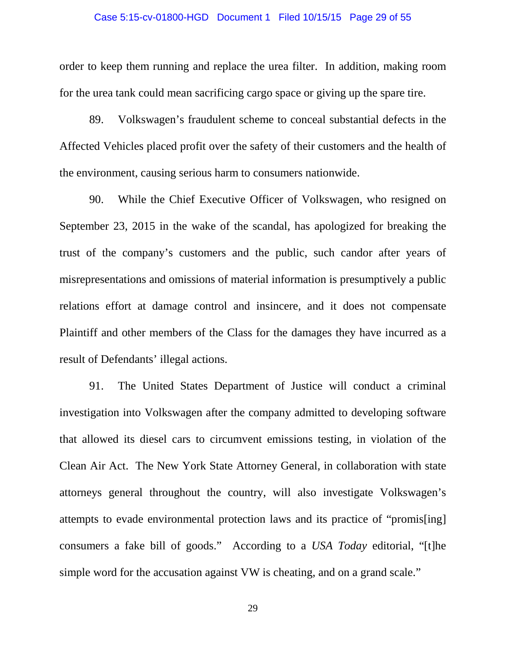### Case 5:15-cv-01800-HGD Document 1 Filed 10/15/15 Page 29 of 55

order to keep them running and replace the urea filter. In addition, making room for the urea tank could mean sacrificing cargo space or giving up the spare tire.

89. Volkswagen's fraudulent scheme to conceal substantial defects in the Affected Vehicles placed profit over the safety of their customers and the health of the environment, causing serious harm to consumers nationwide.

90. While the Chief Executive Officer of Volkswagen, who resigned on September 23, 2015 in the wake of the scandal, has apologized for breaking the trust of the company's customers and the public, such candor after years of misrepresentations and omissions of material information is presumptively a public relations effort at damage control and insincere, and it does not compensate Plaintiff and other members of the Class for the damages they have incurred as a result of Defendants' illegal actions.

91. The United States Department of Justice will conduct a criminal investigation into Volkswagen after the company admitted to developing software that allowed its diesel cars to circumvent emissions testing, in violation of the Clean Air Act. The New York State Attorney General, in collaboration with state attorneys general throughout the country, will also investigate Volkswagen's attempts to evade environmental protection laws and its practice of "promis[ing] consumers a fake bill of goods." According to a *USA Today* editorial, "[t]he simple word for the accusation against VW is cheating, and on a grand scale."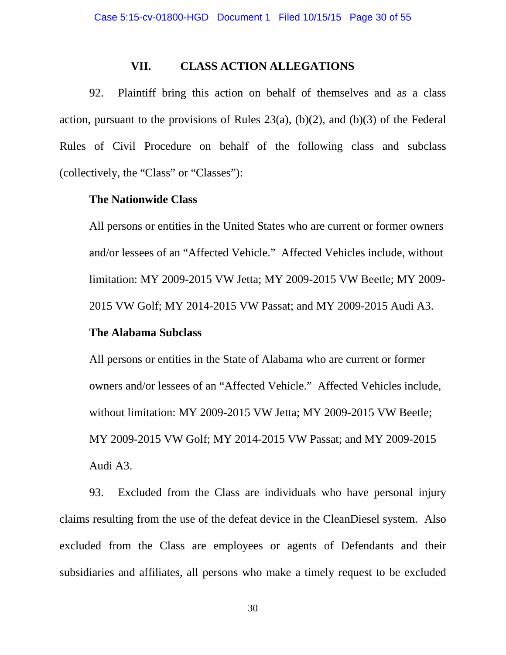### **VII. CLASS ACTION ALLEGATIONS**

92. Plaintiff bring this action on behalf of themselves and as a class action, pursuant to the provisions of Rules  $23(a)$ , (b)(2), and (b)(3) of the Federal Rules of Civil Procedure on behalf of the following class and subclass (collectively, the "Class" or "Classes"):

### **The Nationwide Class**

All persons or entities in the United States who are current or former owners and/or lessees of an "Affected Vehicle." Affected Vehicles include, without limitation: MY 2009-2015 VW Jetta; MY 2009-2015 VW Beetle; MY 2009- 2015 VW Golf; MY 2014-2015 VW Passat; and MY 2009-2015 Audi A3.

### **The Alabama Subclass**

All persons or entities in the State of Alabama who are current or former owners and/or lessees of an "Affected Vehicle." Affected Vehicles include, without limitation: MY 2009-2015 VW Jetta; MY 2009-2015 VW Beetle; MY 2009-2015 VW Golf; MY 2014-2015 VW Passat; and MY 2009-2015 Audi A3.

93. Excluded from the Class are individuals who have personal injury claims resulting from the use of the defeat device in the CleanDiesel system. Also excluded from the Class are employees or agents of Defendants and their subsidiaries and affiliates, all persons who make a timely request to be excluded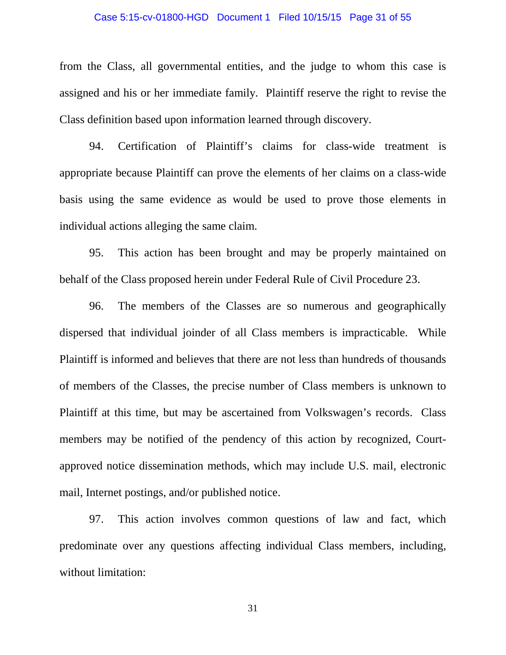### Case 5:15-cv-01800-HGD Document 1 Filed 10/15/15 Page 31 of 55

from the Class, all governmental entities, and the judge to whom this case is assigned and his or her immediate family. Plaintiff reserve the right to revise the Class definition based upon information learned through discovery.

94. Certification of Plaintiff's claims for class-wide treatment is appropriate because Plaintiff can prove the elements of her claims on a class-wide basis using the same evidence as would be used to prove those elements in individual actions alleging the same claim.

95. This action has been brought and may be properly maintained on behalf of the Class proposed herein under Federal Rule of Civil Procedure 23.

96. The members of the Classes are so numerous and geographically dispersed that individual joinder of all Class members is impracticable. While Plaintiff is informed and believes that there are not less than hundreds of thousands of members of the Classes, the precise number of Class members is unknown to Plaintiff at this time, but may be ascertained from Volkswagen's records. Class members may be notified of the pendency of this action by recognized, Courtapproved notice dissemination methods, which may include U.S. mail, electronic mail, Internet postings, and/or published notice.

97. This action involves common questions of law and fact, which predominate over any questions affecting individual Class members, including, without limitation: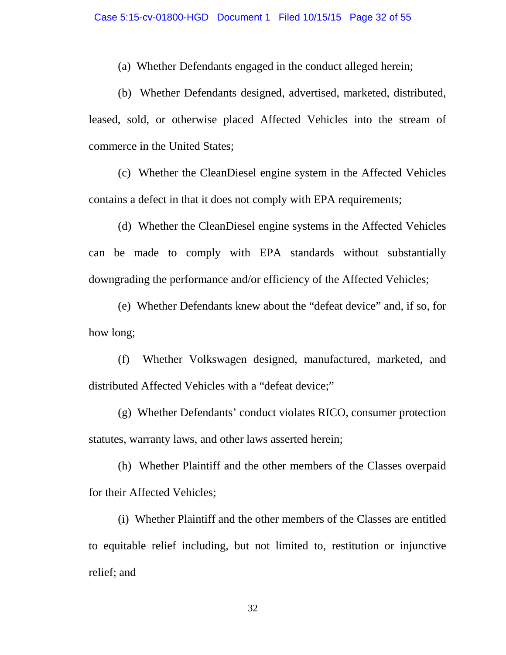(a) Whether Defendants engaged in the conduct alleged herein;

(b) Whether Defendants designed, advertised, marketed, distributed, leased, sold, or otherwise placed Affected Vehicles into the stream of commerce in the United States;

(c) Whether the CleanDiesel engine system in the Affected Vehicles contains a defect in that it does not comply with EPA requirements;

(d) Whether the CleanDiesel engine systems in the Affected Vehicles can be made to comply with EPA standards without substantially downgrading the performance and/or efficiency of the Affected Vehicles;

(e) Whether Defendants knew about the "defeat device" and, if so, for how long;

(f) Whether Volkswagen designed, manufactured, marketed, and distributed Affected Vehicles with a "defeat device;"

(g) Whether Defendants' conduct violates RICO, consumer protection statutes, warranty laws, and other laws asserted herein;

(h) Whether Plaintiff and the other members of the Classes overpaid for their Affected Vehicles;

(i) Whether Plaintiff and the other members of the Classes are entitled to equitable relief including, but not limited to, restitution or injunctive relief; and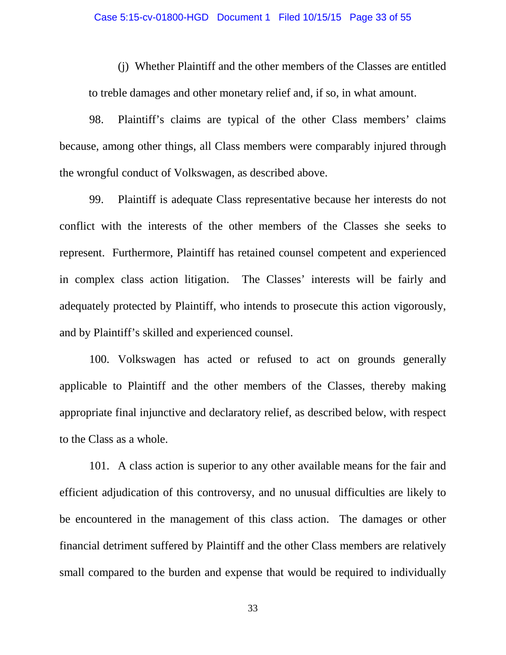(j) Whether Plaintiff and the other members of the Classes are entitled to treble damages and other monetary relief and, if so, in what amount.

98. Plaintiff's claims are typical of the other Class members' claims because, among other things, all Class members were comparably injured through the wrongful conduct of Volkswagen, as described above.

99. Plaintiff is adequate Class representative because her interests do not conflict with the interests of the other members of the Classes she seeks to represent. Furthermore, Plaintiff has retained counsel competent and experienced in complex class action litigation. The Classes' interests will be fairly and adequately protected by Plaintiff, who intends to prosecute this action vigorously, and by Plaintiff's skilled and experienced counsel.

100. Volkswagen has acted or refused to act on grounds generally applicable to Plaintiff and the other members of the Classes, thereby making appropriate final injunctive and declaratory relief, as described below, with respect to the Class as a whole.

101. A class action is superior to any other available means for the fair and efficient adjudication of this controversy, and no unusual difficulties are likely to be encountered in the management of this class action. The damages or other financial detriment suffered by Plaintiff and the other Class members are relatively small compared to the burden and expense that would be required to individually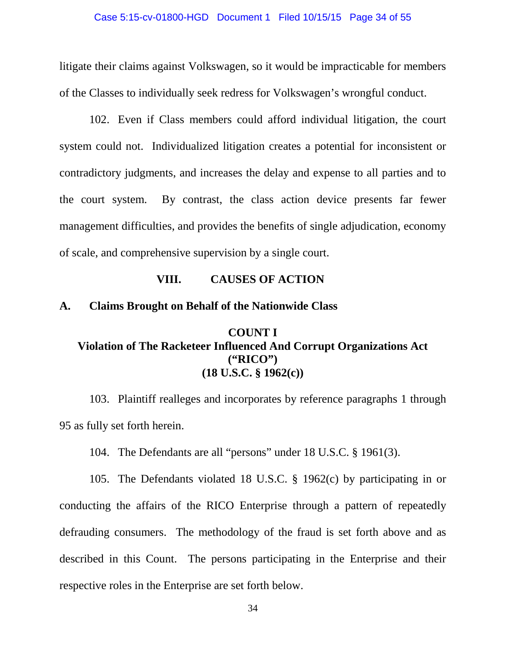litigate their claims against Volkswagen, so it would be impracticable for members of the Classes to individually seek redress for Volkswagen's wrongful conduct.

102. Even if Class members could afford individual litigation, the court system could not. Individualized litigation creates a potential for inconsistent or contradictory judgments, and increases the delay and expense to all parties and to the court system. By contrast, the class action device presents far fewer management difficulties, and provides the benefits of single adjudication, economy of scale, and comprehensive supervision by a single court.

### **VIII. CAUSES OF ACTION**

### **A. Claims Brought on Behalf of the Nationwide Class**

## **COUNT I Violation of The Racketeer Influenced And Corrupt Organizations Act ("RICO") (18 U.S.C. § 1962(c))**

103. Plaintiff realleges and incorporates by reference paragraphs 1 through 95 as fully set forth herein.

104. The Defendants are all "persons" under 18 U.S.C. § 1961(3).

105. The Defendants violated 18 U.S.C. § 1962(c) by participating in or conducting the affairs of the RICO Enterprise through a pattern of repeatedly defrauding consumers. The methodology of the fraud is set forth above and as described in this Count. The persons participating in the Enterprise and their respective roles in the Enterprise are set forth below.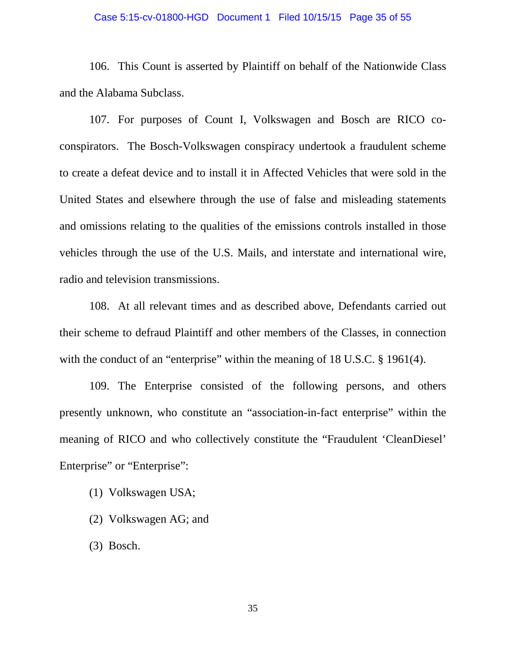### Case 5:15-cv-01800-HGD Document 1 Filed 10/15/15 Page 35 of 55

106. This Count is asserted by Plaintiff on behalf of the Nationwide Class and the Alabama Subclass.

107. For purposes of Count I, Volkswagen and Bosch are RICO coconspirators. The Bosch-Volkswagen conspiracy undertook a fraudulent scheme to create a defeat device and to install it in Affected Vehicles that were sold in the United States and elsewhere through the use of false and misleading statements and omissions relating to the qualities of the emissions controls installed in those vehicles through the use of the U.S. Mails, and interstate and international wire, radio and television transmissions.

108. At all relevant times and as described above, Defendants carried out their scheme to defraud Plaintiff and other members of the Classes, in connection with the conduct of an "enterprise" within the meaning of 18 U.S.C. § 1961(4).

109. The Enterprise consisted of the following persons, and others presently unknown, who constitute an "association-in-fact enterprise" within the meaning of RICO and who collectively constitute the "Fraudulent 'CleanDiesel' Enterprise" or "Enterprise":

- (1) Volkswagen USA;
- (2) Volkswagen AG; and
- (3) Bosch.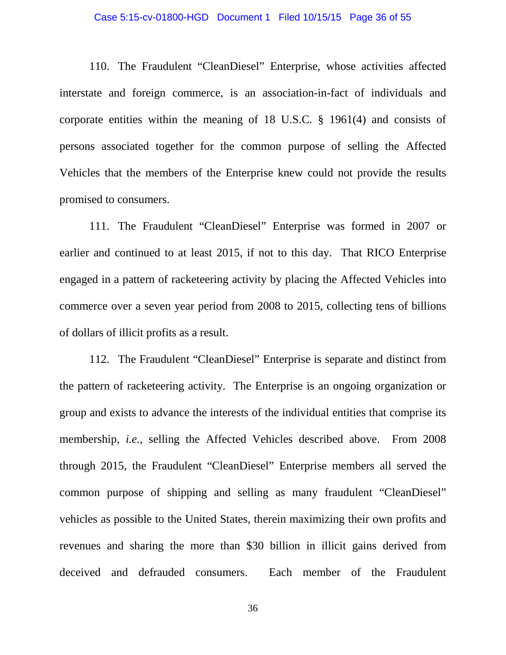### Case 5:15-cv-01800-HGD Document 1 Filed 10/15/15 Page 36 of 55

110. The Fraudulent "CleanDiesel" Enterprise, whose activities affected interstate and foreign commerce, is an association-in-fact of individuals and corporate entities within the meaning of 18 U.S.C. § 1961(4) and consists of persons associated together for the common purpose of selling the Affected Vehicles that the members of the Enterprise knew could not provide the results promised to consumers.

111. The Fraudulent "CleanDiesel" Enterprise was formed in 2007 or earlier and continued to at least 2015, if not to this day. That RICO Enterprise engaged in a pattern of racketeering activity by placing the Affected Vehicles into commerce over a seven year period from 2008 to 2015, collecting tens of billions of dollars of illicit profits as a result.

112. The Fraudulent "CleanDiesel" Enterprise is separate and distinct from the pattern of racketeering activity. The Enterprise is an ongoing organization or group and exists to advance the interests of the individual entities that comprise its membership, *i.e.*, selling the Affected Vehicles described above. From 2008 through 2015, the Fraudulent "CleanDiesel" Enterprise members all served the common purpose of shipping and selling as many fraudulent "CleanDiesel" vehicles as possible to the United States, therein maximizing their own profits and revenues and sharing the more than \$30 billion in illicit gains derived from deceived and defrauded consumers. Each member of the Fraudulent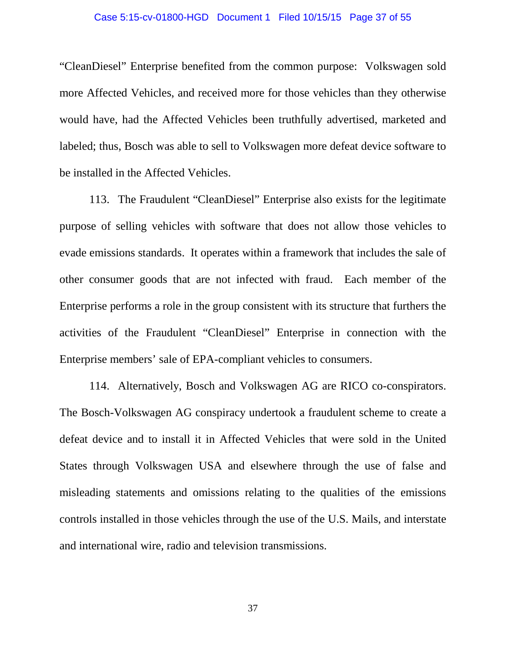### Case 5:15-cv-01800-HGD Document 1 Filed 10/15/15 Page 37 of 55

"CleanDiesel" Enterprise benefited from the common purpose: Volkswagen sold more Affected Vehicles, and received more for those vehicles than they otherwise would have, had the Affected Vehicles been truthfully advertised, marketed and labeled; thus, Bosch was able to sell to Volkswagen more defeat device software to be installed in the Affected Vehicles.

113. The Fraudulent "CleanDiesel" Enterprise also exists for the legitimate purpose of selling vehicles with software that does not allow those vehicles to evade emissions standards. It operates within a framework that includes the sale of other consumer goods that are not infected with fraud. Each member of the Enterprise performs a role in the group consistent with its structure that furthers the activities of the Fraudulent "CleanDiesel" Enterprise in connection with the Enterprise members' sale of EPA-compliant vehicles to consumers.

114. Alternatively, Bosch and Volkswagen AG are RICO co-conspirators. The Bosch-Volkswagen AG conspiracy undertook a fraudulent scheme to create a defeat device and to install it in Affected Vehicles that were sold in the United States through Volkswagen USA and elsewhere through the use of false and misleading statements and omissions relating to the qualities of the emissions controls installed in those vehicles through the use of the U.S. Mails, and interstate and international wire, radio and television transmissions.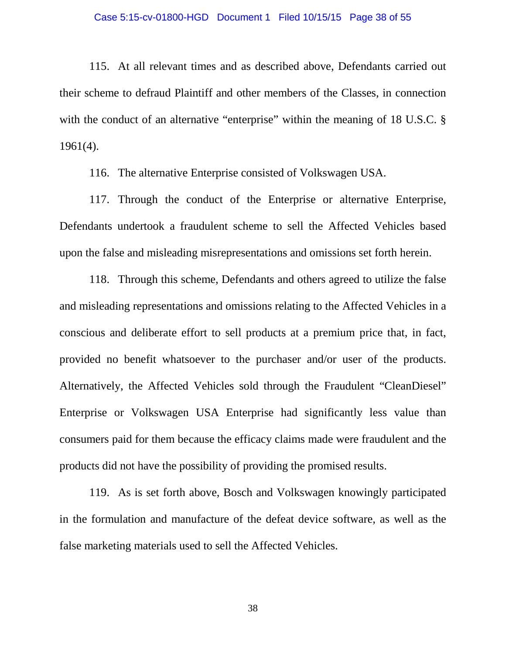### Case 5:15-cv-01800-HGD Document 1 Filed 10/15/15 Page 38 of 55

115. At all relevant times and as described above, Defendants carried out their scheme to defraud Plaintiff and other members of the Classes, in connection with the conduct of an alternative "enterprise" within the meaning of 18 U.S.C. § 1961(4).

116. The alternative Enterprise consisted of Volkswagen USA.

117. Through the conduct of the Enterprise or alternative Enterprise, Defendants undertook a fraudulent scheme to sell the Affected Vehicles based upon the false and misleading misrepresentations and omissions set forth herein.

118. Through this scheme, Defendants and others agreed to utilize the false and misleading representations and omissions relating to the Affected Vehicles in a conscious and deliberate effort to sell products at a premium price that, in fact, provided no benefit whatsoever to the purchaser and/or user of the products. Alternatively, the Affected Vehicles sold through the Fraudulent "CleanDiesel" Enterprise or Volkswagen USA Enterprise had significantly less value than consumers paid for them because the efficacy claims made were fraudulent and the products did not have the possibility of providing the promised results.

119. As is set forth above, Bosch and Volkswagen knowingly participated in the formulation and manufacture of the defeat device software, as well as the false marketing materials used to sell the Affected Vehicles.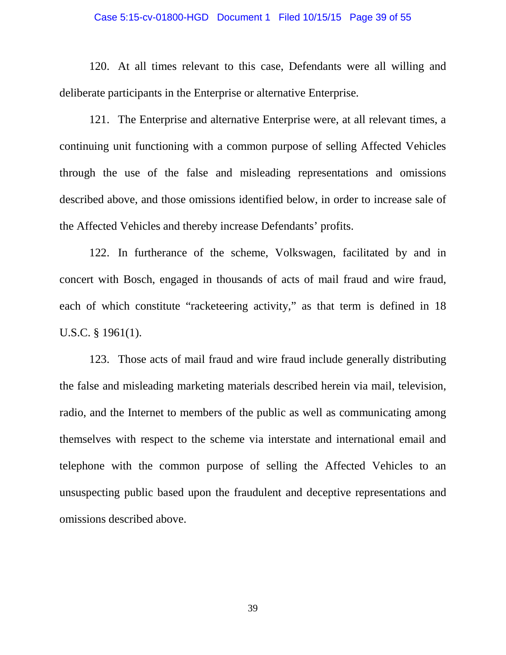### Case 5:15-cv-01800-HGD Document 1 Filed 10/15/15 Page 39 of 55

120. At all times relevant to this case, Defendants were all willing and deliberate participants in the Enterprise or alternative Enterprise.

121. The Enterprise and alternative Enterprise were, at all relevant times, a continuing unit functioning with a common purpose of selling Affected Vehicles through the use of the false and misleading representations and omissions described above, and those omissions identified below, in order to increase sale of the Affected Vehicles and thereby increase Defendants' profits.

122. In furtherance of the scheme, Volkswagen, facilitated by and in concert with Bosch, engaged in thousands of acts of mail fraud and wire fraud, each of which constitute "racketeering activity," as that term is defined in 18 U.S.C. § 1961(1).

123. Those acts of mail fraud and wire fraud include generally distributing the false and misleading marketing materials described herein via mail, television, radio, and the Internet to members of the public as well as communicating among themselves with respect to the scheme via interstate and international email and telephone with the common purpose of selling the Affected Vehicles to an unsuspecting public based upon the fraudulent and deceptive representations and omissions described above.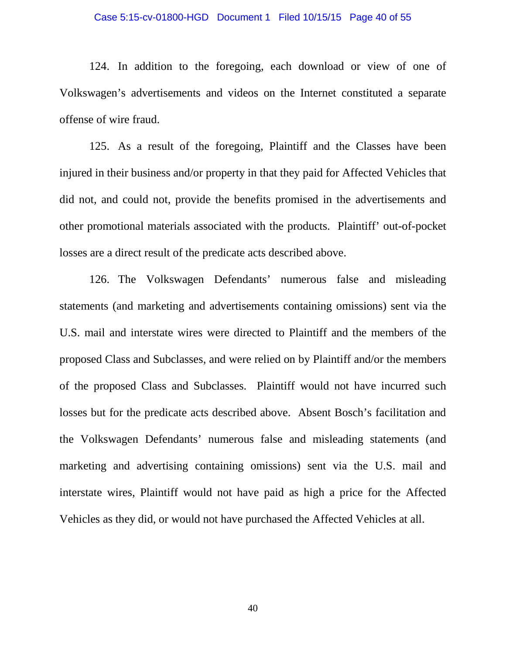### Case 5:15-cv-01800-HGD Document 1 Filed 10/15/15 Page 40 of 55

124. In addition to the foregoing, each download or view of one of Volkswagen's advertisements and videos on the Internet constituted a separate offense of wire fraud.

125. As a result of the foregoing, Plaintiff and the Classes have been injured in their business and/or property in that they paid for Affected Vehicles that did not, and could not, provide the benefits promised in the advertisements and other promotional materials associated with the products. Plaintiff' out-of-pocket losses are a direct result of the predicate acts described above.

126. The Volkswagen Defendants' numerous false and misleading statements (and marketing and advertisements containing omissions) sent via the U.S. mail and interstate wires were directed to Plaintiff and the members of the proposed Class and Subclasses, and were relied on by Plaintiff and/or the members of the proposed Class and Subclasses. Plaintiff would not have incurred such losses but for the predicate acts described above. Absent Bosch's facilitation and the Volkswagen Defendants' numerous false and misleading statements (and marketing and advertising containing omissions) sent via the U.S. mail and interstate wires, Plaintiff would not have paid as high a price for the Affected Vehicles as they did, or would not have purchased the Affected Vehicles at all.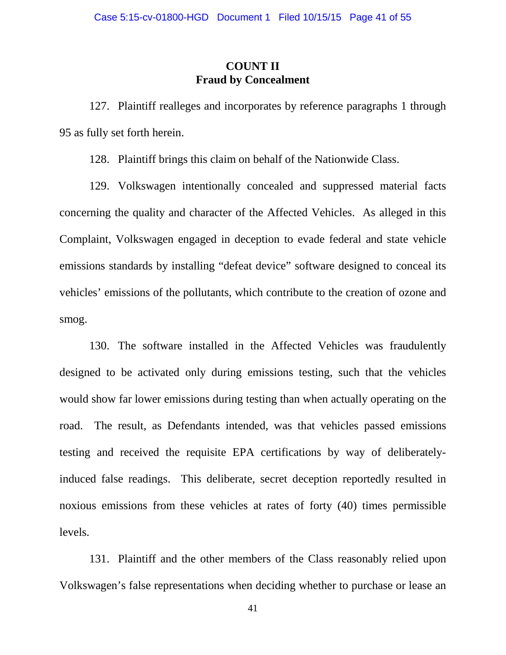## **COUNT II Fraud by Concealment**

127. Plaintiff realleges and incorporates by reference paragraphs 1 through 95 as fully set forth herein.

128. Plaintiff brings this claim on behalf of the Nationwide Class.

129. Volkswagen intentionally concealed and suppressed material facts concerning the quality and character of the Affected Vehicles. As alleged in this Complaint, Volkswagen engaged in deception to evade federal and state vehicle emissions standards by installing "defeat device" software designed to conceal its vehicles' emissions of the pollutants, which contribute to the creation of ozone and smog.

130. The software installed in the Affected Vehicles was fraudulently designed to be activated only during emissions testing, such that the vehicles would show far lower emissions during testing than when actually operating on the road. The result, as Defendants intended, was that vehicles passed emissions testing and received the requisite EPA certifications by way of deliberatelyinduced false readings. This deliberate, secret deception reportedly resulted in noxious emissions from these vehicles at rates of forty (40) times permissible levels.

131. Plaintiff and the other members of the Class reasonably relied upon Volkswagen's false representations when deciding whether to purchase or lease an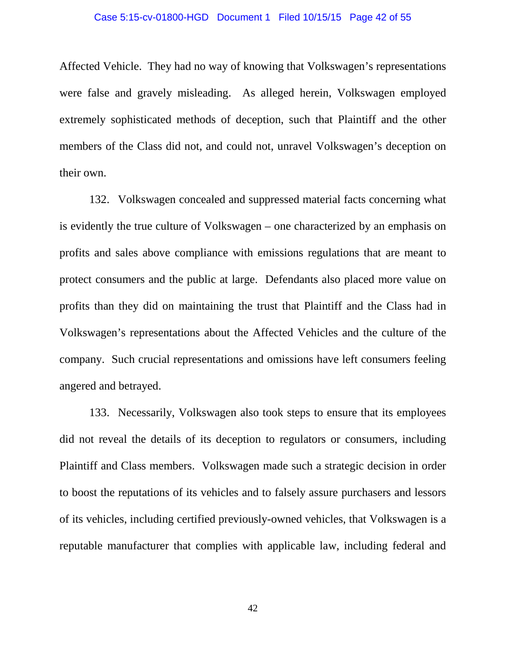### Case 5:15-cv-01800-HGD Document 1 Filed 10/15/15 Page 42 of 55

Affected Vehicle. They had no way of knowing that Volkswagen's representations were false and gravely misleading. As alleged herein, Volkswagen employed extremely sophisticated methods of deception, such that Plaintiff and the other members of the Class did not, and could not, unravel Volkswagen's deception on their own.

132. Volkswagen concealed and suppressed material facts concerning what is evidently the true culture of Volkswagen – one characterized by an emphasis on profits and sales above compliance with emissions regulations that are meant to protect consumers and the public at large. Defendants also placed more value on profits than they did on maintaining the trust that Plaintiff and the Class had in Volkswagen's representations about the Affected Vehicles and the culture of the company. Such crucial representations and omissions have left consumers feeling angered and betrayed.

133. Necessarily, Volkswagen also took steps to ensure that its employees did not reveal the details of its deception to regulators or consumers, including Plaintiff and Class members. Volkswagen made such a strategic decision in order to boost the reputations of its vehicles and to falsely assure purchasers and lessors of its vehicles, including certified previously-owned vehicles, that Volkswagen is a reputable manufacturer that complies with applicable law, including federal and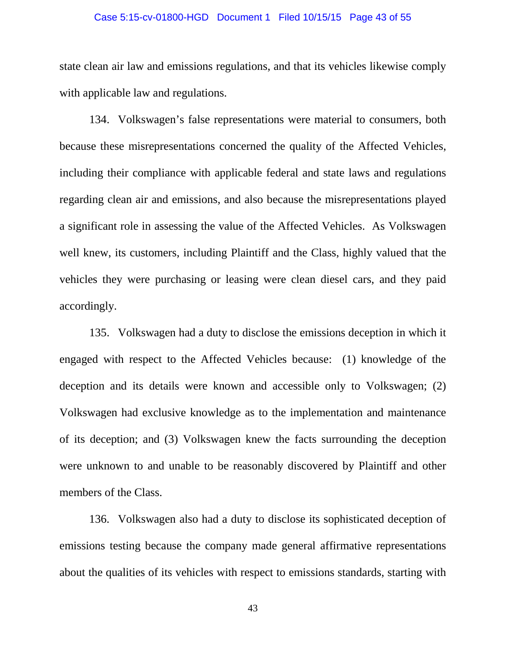### Case 5:15-cv-01800-HGD Document 1 Filed 10/15/15 Page 43 of 55

state clean air law and emissions regulations, and that its vehicles likewise comply with applicable law and regulations.

134. Volkswagen's false representations were material to consumers, both because these misrepresentations concerned the quality of the Affected Vehicles, including their compliance with applicable federal and state laws and regulations regarding clean air and emissions, and also because the misrepresentations played a significant role in assessing the value of the Affected Vehicles. As Volkswagen well knew, its customers, including Plaintiff and the Class, highly valued that the vehicles they were purchasing or leasing were clean diesel cars, and they paid accordingly.

135. Volkswagen had a duty to disclose the emissions deception in which it engaged with respect to the Affected Vehicles because: (1) knowledge of the deception and its details were known and accessible only to Volkswagen; (2) Volkswagen had exclusive knowledge as to the implementation and maintenance of its deception; and (3) Volkswagen knew the facts surrounding the deception were unknown to and unable to be reasonably discovered by Plaintiff and other members of the Class.

136. Volkswagen also had a duty to disclose its sophisticated deception of emissions testing because the company made general affirmative representations about the qualities of its vehicles with respect to emissions standards, starting with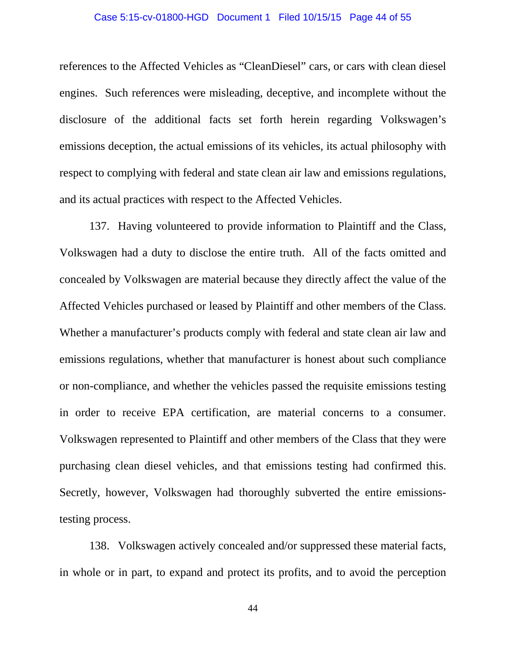### Case 5:15-cv-01800-HGD Document 1 Filed 10/15/15 Page 44 of 55

references to the Affected Vehicles as "CleanDiesel" cars, or cars with clean diesel engines. Such references were misleading, deceptive, and incomplete without the disclosure of the additional facts set forth herein regarding Volkswagen's emissions deception, the actual emissions of its vehicles, its actual philosophy with respect to complying with federal and state clean air law and emissions regulations, and its actual practices with respect to the Affected Vehicles.

137. Having volunteered to provide information to Plaintiff and the Class, Volkswagen had a duty to disclose the entire truth. All of the facts omitted and concealed by Volkswagen are material because they directly affect the value of the Affected Vehicles purchased or leased by Plaintiff and other members of the Class. Whether a manufacturer's products comply with federal and state clean air law and emissions regulations, whether that manufacturer is honest about such compliance or non-compliance, and whether the vehicles passed the requisite emissions testing in order to receive EPA certification, are material concerns to a consumer. Volkswagen represented to Plaintiff and other members of the Class that they were purchasing clean diesel vehicles, and that emissions testing had confirmed this. Secretly, however, Volkswagen had thoroughly subverted the entire emissionstesting process.

138. Volkswagen actively concealed and/or suppressed these material facts, in whole or in part, to expand and protect its profits, and to avoid the perception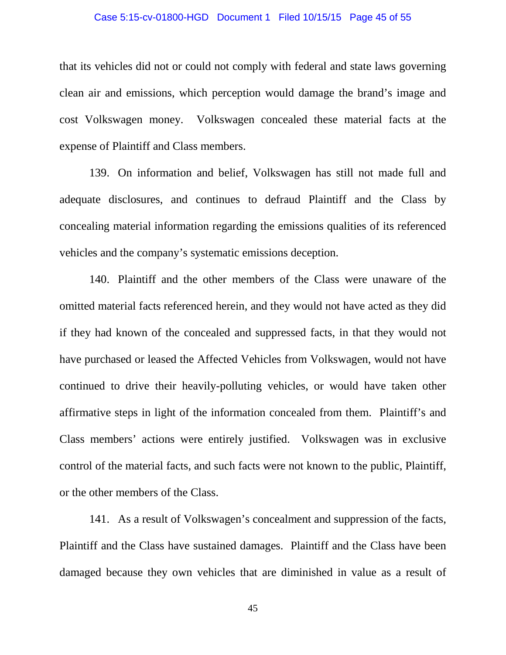### Case 5:15-cv-01800-HGD Document 1 Filed 10/15/15 Page 45 of 55

that its vehicles did not or could not comply with federal and state laws governing clean air and emissions, which perception would damage the brand's image and cost Volkswagen money. Volkswagen concealed these material facts at the expense of Plaintiff and Class members.

139. On information and belief, Volkswagen has still not made full and adequate disclosures, and continues to defraud Plaintiff and the Class by concealing material information regarding the emissions qualities of its referenced vehicles and the company's systematic emissions deception.

140. Plaintiff and the other members of the Class were unaware of the omitted material facts referenced herein, and they would not have acted as they did if they had known of the concealed and suppressed facts, in that they would not have purchased or leased the Affected Vehicles from Volkswagen, would not have continued to drive their heavily-polluting vehicles, or would have taken other affirmative steps in light of the information concealed from them. Plaintiff's and Class members' actions were entirely justified. Volkswagen was in exclusive control of the material facts, and such facts were not known to the public, Plaintiff, or the other members of the Class.

141. As a result of Volkswagen's concealment and suppression of the facts, Plaintiff and the Class have sustained damages. Plaintiff and the Class have been damaged because they own vehicles that are diminished in value as a result of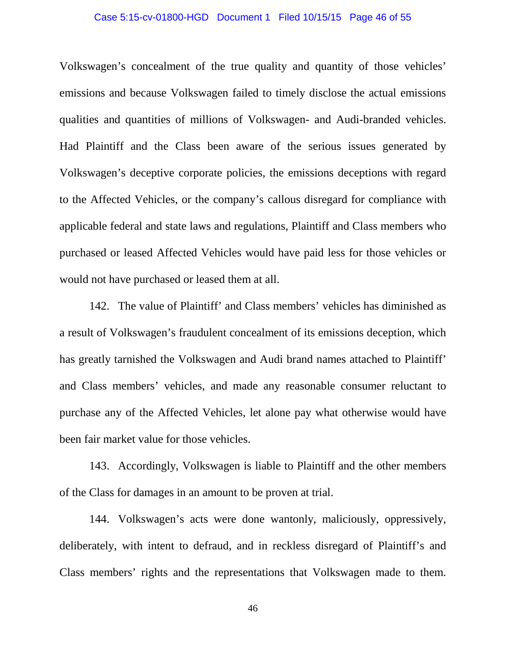### Case 5:15-cv-01800-HGD Document 1 Filed 10/15/15 Page 46 of 55

Volkswagen's concealment of the true quality and quantity of those vehicles' emissions and because Volkswagen failed to timely disclose the actual emissions qualities and quantities of millions of Volkswagen- and Audi-branded vehicles. Had Plaintiff and the Class been aware of the serious issues generated by Volkswagen's deceptive corporate policies, the emissions deceptions with regard to the Affected Vehicles, or the company's callous disregard for compliance with applicable federal and state laws and regulations, Plaintiff and Class members who purchased or leased Affected Vehicles would have paid less for those vehicles or would not have purchased or leased them at all.

142. The value of Plaintiff' and Class members' vehicles has diminished as a result of Volkswagen's fraudulent concealment of its emissions deception, which has greatly tarnished the Volkswagen and Audi brand names attached to Plaintiff' and Class members' vehicles, and made any reasonable consumer reluctant to purchase any of the Affected Vehicles, let alone pay what otherwise would have been fair market value for those vehicles.

143. Accordingly, Volkswagen is liable to Plaintiff and the other members of the Class for damages in an amount to be proven at trial.

144. Volkswagen's acts were done wantonly, maliciously, oppressively, deliberately, with intent to defraud, and in reckless disregard of Plaintiff's and Class members' rights and the representations that Volkswagen made to them.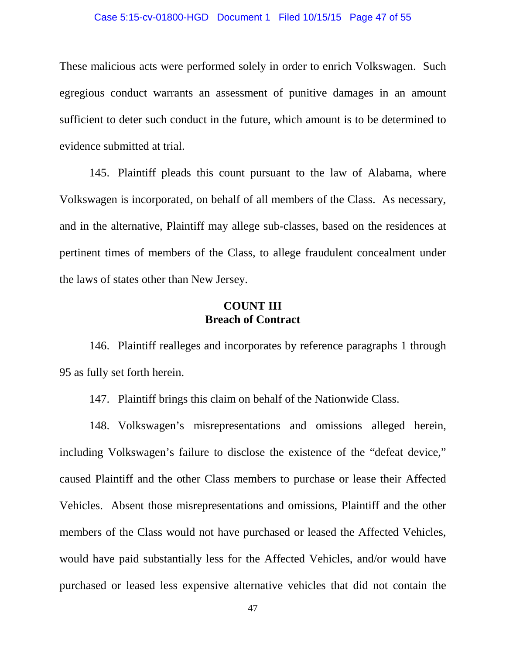### Case 5:15-cv-01800-HGD Document 1 Filed 10/15/15 Page 47 of 55

These malicious acts were performed solely in order to enrich Volkswagen. Such egregious conduct warrants an assessment of punitive damages in an amount sufficient to deter such conduct in the future, which amount is to be determined to evidence submitted at trial.

145. Plaintiff pleads this count pursuant to the law of Alabama, where Volkswagen is incorporated, on behalf of all members of the Class. As necessary, and in the alternative, Plaintiff may allege sub-classes, based on the residences at pertinent times of members of the Class, to allege fraudulent concealment under the laws of states other than New Jersey.

### **COUNT III Breach of Contract**

146. Plaintiff realleges and incorporates by reference paragraphs 1 through 95 as fully set forth herein.

147. Plaintiff brings this claim on behalf of the Nationwide Class.

148. Volkswagen's misrepresentations and omissions alleged herein, including Volkswagen's failure to disclose the existence of the "defeat device," caused Plaintiff and the other Class members to purchase or lease their Affected Vehicles. Absent those misrepresentations and omissions, Plaintiff and the other members of the Class would not have purchased or leased the Affected Vehicles, would have paid substantially less for the Affected Vehicles, and/or would have purchased or leased less expensive alternative vehicles that did not contain the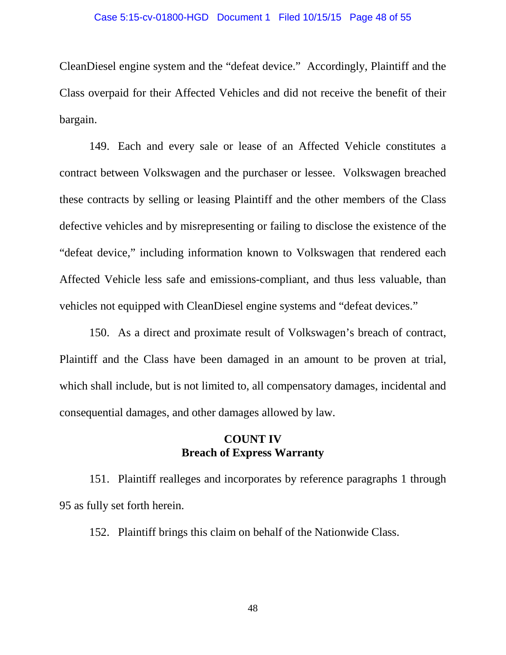### Case 5:15-cv-01800-HGD Document 1 Filed 10/15/15 Page 48 of 55

CleanDiesel engine system and the "defeat device." Accordingly, Plaintiff and the Class overpaid for their Affected Vehicles and did not receive the benefit of their bargain.

149. Each and every sale or lease of an Affected Vehicle constitutes a contract between Volkswagen and the purchaser or lessee. Volkswagen breached these contracts by selling or leasing Plaintiff and the other members of the Class defective vehicles and by misrepresenting or failing to disclose the existence of the "defeat device," including information known to Volkswagen that rendered each Affected Vehicle less safe and emissions-compliant, and thus less valuable, than vehicles not equipped with CleanDiesel engine systems and "defeat devices."

150. As a direct and proximate result of Volkswagen's breach of contract, Plaintiff and the Class have been damaged in an amount to be proven at trial, which shall include, but is not limited to, all compensatory damages, incidental and consequential damages, and other damages allowed by law.

## **COUNT IV Breach of Express Warranty**

151. Plaintiff realleges and incorporates by reference paragraphs 1 through 95 as fully set forth herein.

152. Plaintiff brings this claim on behalf of the Nationwide Class.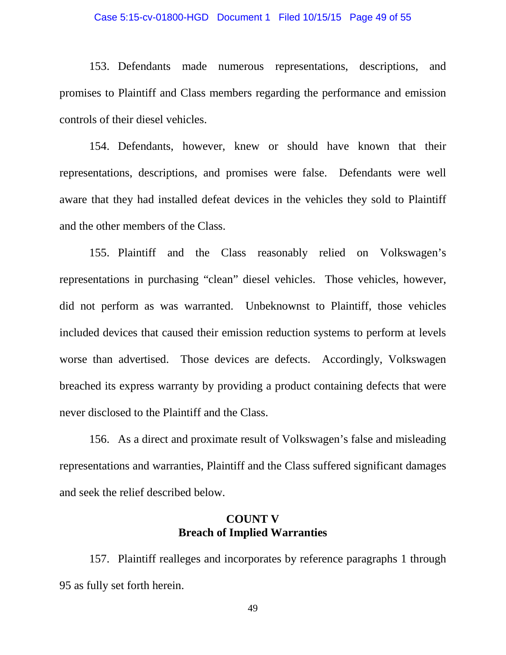### Case 5:15-cv-01800-HGD Document 1 Filed 10/15/15 Page 49 of 55

153. Defendants made numerous representations, descriptions, and promises to Plaintiff and Class members regarding the performance and emission controls of their diesel vehicles.

154. Defendants, however, knew or should have known that their representations, descriptions, and promises were false. Defendants were well aware that they had installed defeat devices in the vehicles they sold to Plaintiff and the other members of the Class.

155. Plaintiff and the Class reasonably relied on Volkswagen's representations in purchasing "clean" diesel vehicles. Those vehicles, however, did not perform as was warranted. Unbeknownst to Plaintiff, those vehicles included devices that caused their emission reduction systems to perform at levels worse than advertised. Those devices are defects. Accordingly, Volkswagen breached its express warranty by providing a product containing defects that were never disclosed to the Plaintiff and the Class.

156. As a direct and proximate result of Volkswagen's false and misleading representations and warranties, Plaintiff and the Class suffered significant damages and seek the relief described below.

## **COUNT V Breach of Implied Warranties**

157. Plaintiff realleges and incorporates by reference paragraphs 1 through 95 as fully set forth herein.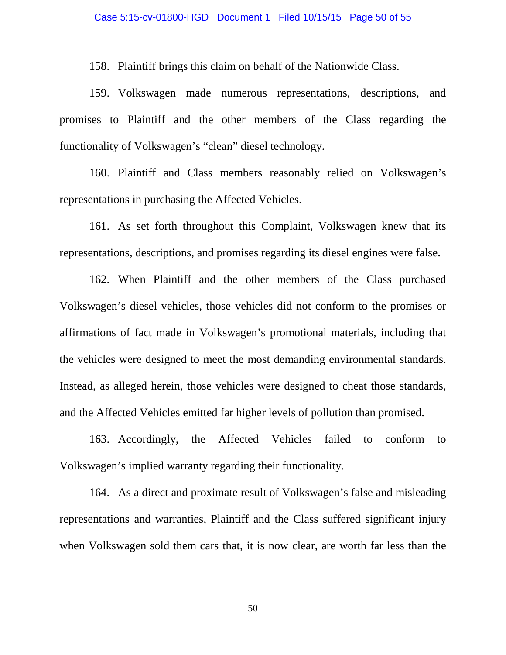158. Plaintiff brings this claim on behalf of the Nationwide Class.

159. Volkswagen made numerous representations, descriptions, and promises to Plaintiff and the other members of the Class regarding the functionality of Volkswagen's "clean" diesel technology.

160. Plaintiff and Class members reasonably relied on Volkswagen's representations in purchasing the Affected Vehicles.

161. As set forth throughout this Complaint, Volkswagen knew that its representations, descriptions, and promises regarding its diesel engines were false.

162. When Plaintiff and the other members of the Class purchased Volkswagen's diesel vehicles, those vehicles did not conform to the promises or affirmations of fact made in Volkswagen's promotional materials, including that the vehicles were designed to meet the most demanding environmental standards. Instead, as alleged herein, those vehicles were designed to cheat those standards, and the Affected Vehicles emitted far higher levels of pollution than promised.

163. Accordingly, the Affected Vehicles failed to conform to Volkswagen's implied warranty regarding their functionality.

164. As a direct and proximate result of Volkswagen's false and misleading representations and warranties, Plaintiff and the Class suffered significant injury when Volkswagen sold them cars that, it is now clear, are worth far less than the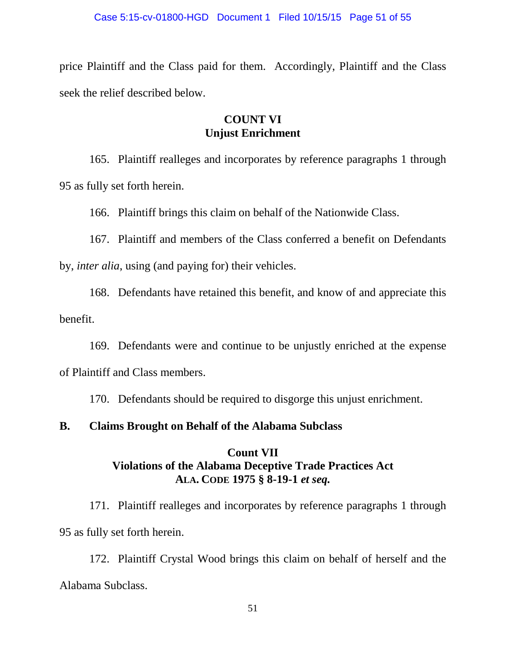price Plaintiff and the Class paid for them. Accordingly, Plaintiff and the Class seek the relief described below.

## **COUNT VI Unjust Enrichment**

165. Plaintiff realleges and incorporates by reference paragraphs 1 through 95 as fully set forth herein.

166. Plaintiff brings this claim on behalf of the Nationwide Class.

167. Plaintiff and members of the Class conferred a benefit on Defendants by, *inter alia*, using (and paying for) their vehicles.

168. Defendants have retained this benefit, and know of and appreciate this benefit.

169. Defendants were and continue to be unjustly enriched at the expense of Plaintiff and Class members.

170. Defendants should be required to disgorge this unjust enrichment.

## **B. Claims Brought on Behalf of the Alabama Subclass**

## **Count VII Violations of the Alabama Deceptive Trade Practices Act ALA. CODE 1975 § 8-19-1** *et seq.*

171. Plaintiff realleges and incorporates by reference paragraphs 1 through 95 as fully set forth herein.

172. Plaintiff Crystal Wood brings this claim on behalf of herself and the Alabama Subclass.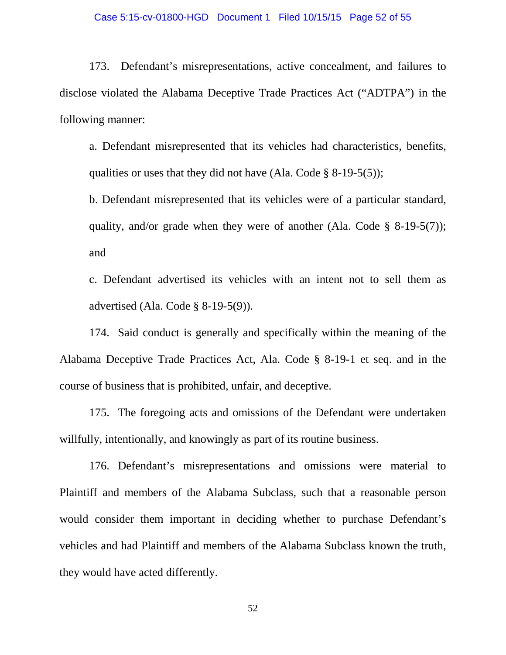173. Defendant's misrepresentations, active concealment, and failures to disclose violated the Alabama Deceptive Trade Practices Act ("ADTPA") in the following manner:

a. Defendant misrepresented that its vehicles had characteristics, benefits, qualities or uses that they did not have (Ala. Code  $\S$  8-19-5(5));

b. Defendant misrepresented that its vehicles were of a particular standard, quality, and/or grade when they were of another (Ala. Code  $\S$  8-19-5(7)); and

c. Defendant advertised its vehicles with an intent not to sell them as advertised (Ala. Code § 8-19-5(9)).

174. Said conduct is generally and specifically within the meaning of the Alabama Deceptive Trade Practices Act, Ala. Code § 8-19-1 et seq. and in the course of business that is prohibited, unfair, and deceptive.

175. The foregoing acts and omissions of the Defendant were undertaken willfully, intentionally, and knowingly as part of its routine business.

176. Defendant's misrepresentations and omissions were material to Plaintiff and members of the Alabama Subclass, such that a reasonable person would consider them important in deciding whether to purchase Defendant's vehicles and had Plaintiff and members of the Alabama Subclass known the truth, they would have acted differently.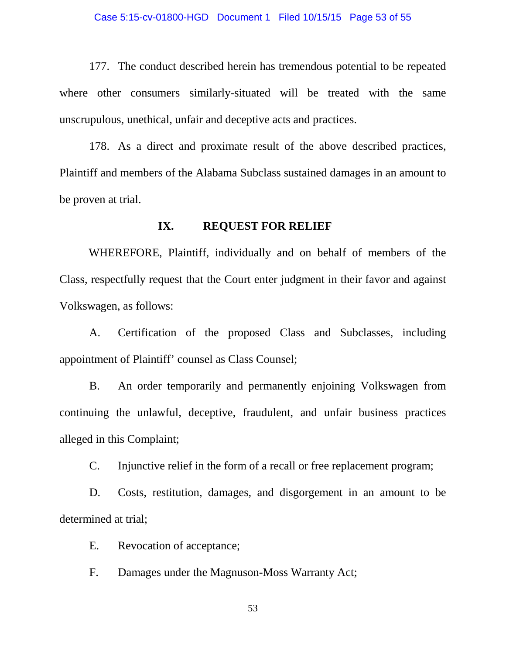177. The conduct described herein has tremendous potential to be repeated where other consumers similarly-situated will be treated with the same unscrupulous, unethical, unfair and deceptive acts and practices.

178. As a direct and proximate result of the above described practices, Plaintiff and members of the Alabama Subclass sustained damages in an amount to be proven at trial.

### **IX. REQUEST FOR RELIEF**

WHEREFORE, Plaintiff, individually and on behalf of members of the Class, respectfully request that the Court enter judgment in their favor and against Volkswagen, as follows:

A. Certification of the proposed Class and Subclasses, including appointment of Plaintiff' counsel as Class Counsel;

B. An order temporarily and permanently enjoining Volkswagen from continuing the unlawful, deceptive, fraudulent, and unfair business practices alleged in this Complaint;

C. Injunctive relief in the form of a recall or free replacement program;

D. Costs, restitution, damages, and disgorgement in an amount to be determined at trial;

E. Revocation of acceptance;

F. Damages under the Magnuson-Moss Warranty Act;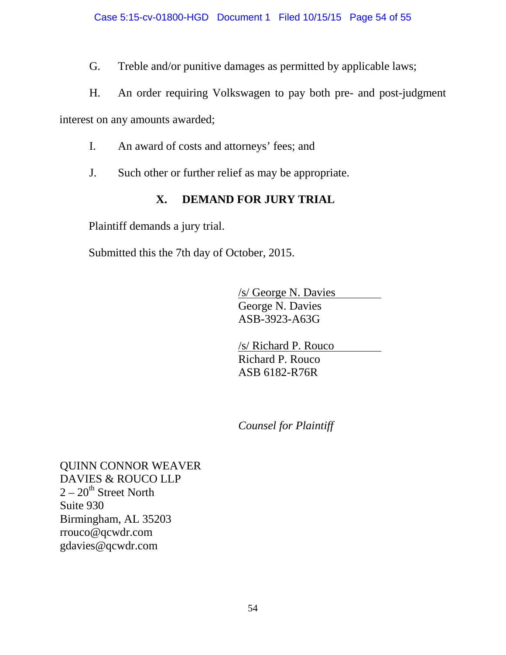G. Treble and/or punitive damages as permitted by applicable laws;

H. An order requiring Volkswagen to pay both pre- and post-judgment

interest on any amounts awarded;

- I. An award of costs and attorneys' fees; and
- J. Such other or further relief as may be appropriate.

# **X. DEMAND FOR JURY TRIAL**

Plaintiff demands a jury trial.

Submitted this the 7th day of October, 2015.

/s/ George N. Davies George N. Davies ASB-3923-A63G

/s/ Richard P. Rouco Richard P. Rouco ASB 6182-R76R

*Counsel for Plaintiff*

QUINN CONNOR WEAVER DAVIES & ROUCO LLP  $2-20$ <sup>th</sup> Street North Suite 930 Birmingham, AL 35203 rrouco@qcwdr.com gdavies@qcwdr.com